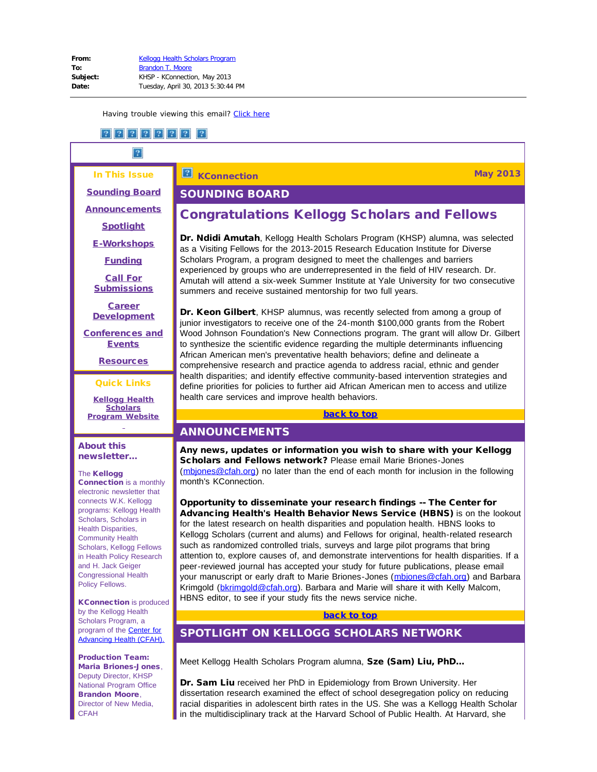<span id="page-0-3"></span><span id="page-0-0"></span>In This Issue [Sounding Board](#page-0-0) **[Announcements](#page-0-1) [Spotlight](#page-0-2)** [E-Workshops](#page-1-0)

**[Funding](#page-1-1)** 

[Call For](#page-2-0) **[Submissions](#page-2-0)** 

**[Career](#page-5-0) [Development](#page-5-0)** 

<span id="page-0-4"></span>[Conferences and](#page-11-0) **[Events](#page-11-0)** 

**[Resources](#page-13-0)** 

Quick Links

**[Kellogg Health](http://r20.rs6.net/tn.jsp?e=001P_Rv0lTHjdl_cYmKb7dFn6XpZuUcF9y1SljpSPRq8SVzkiqRVkzmNX5yBwrIwAcH7gfbUTd7B-Hscd81If4i98PXcZFJFDrdbPlI38TN0sf30dxq3XEp_RQAuIgbeZA9XmZIUULTGiXiITWWHB9EXuXWQ9wPFtH08koQGPwLbPPBuAcpJjpvMbybZGNMEVP6jwwm5TgdJA2kVphUy5H456qgxktS-P7Y_BI9ZhzE7lv1QGK74odBx7RKr9rK1I7Z) [Scholars](http://r20.rs6.net/tn.jsp?e=001P_Rv0lTHjdl_cYmKb7dFn6XpZuUcF9y1SljpSPRq8SVzkiqRVkzmNX5yBwrIwAcH7gfbUTd7B-Hscd81If4i98PXcZFJFDrdbPlI38TN0sf30dxq3XEp_RQAuIgbeZA9XmZIUULTGiXiITWWHB9EXuXWQ9wPFtH08koQGPwLbPPBuAcpJjpvMbybZGNMEVP6jwwm5TgdJA2kVphUy5H456qgxktS-P7Y_BI9ZhzE7lv1QGK74odBx7RKr9rK1I7Z) [Program](http://r20.rs6.net/tn.jsp?e=001P_Rv0lTHjdl_cYmKb7dFn6XpZuUcF9y1SljpSPRq8SVzkiqRVkzmNX5yBwrIwAcH7gfbUTd7B-Hscd81If4i98PXcZFJFDrdbPlI38TN0sf30dxq3XEp_RQAuIgbeZA9XmZIUULTGiXiITWWHB9EXuXWQ9wPFtH08koQGPwLbPPBuAcpJjpvMbybZGNMEVP6jwwm5TgdJA2kVphUy5H456qgxktS-P7Y_BI9ZhzE7lv1QGK74odBx7RKr9rK1I7Z) Website**

## <span id="page-0-1"></span>About this newsletter...

### The Kellogg

Connection is a monthly electronic newsletter that connects W.K. Kellogg programs: Kellogg Health Scholars, Scholars in Health Disparities, Community Health Scholars, Kellogg Fellows in Health Policy Research and H. Jack Geiger Congressional Health Policy Fellows.

<span id="page-0-2"></span>KConnection is produced by the Kellogg Health Scholars Program, a program of the **[Center for](http://r20.rs6.net/tn.jsp?e=001P_Rv0lTHjdlu93rMfywl3gdIDB0NUWZc5IATK3aKLG833VCyoSveaPBkhgwsS85-727s-DnW8DP2orfsrDxgC_M7NuTj2njQV_VrBpa98J7_fv05Nt-o4h1vZBC7RxYF2AWK0E7dFDhrpOj4teqR8xRtZVJArxUafduitRC5vieHFRwsC4piuot6uuNjD9lyyTwNHiU2iANXAE0e1lS79e3am0N-gKDzWfM9Qmg-y6M=)** [Advancing Health \(CFAH\).](http://r20.rs6.net/tn.jsp?e=001P_Rv0lTHjdlu93rMfywl3gdIDB0NUWZc5IATK3aKLG833VCyoSveaPBkhgwsS85-727s-DnW8DP2orfsrDxgC_M7NuTj2njQV_VrBpa98J7_fv05Nt-o4h1vZBC7RxYF2AWK0E7dFDhrpOj4teqR8xRtZVJArxUafduitRC5vieHFRwsC4piuot6uuNjD9lyyTwNHiU2iANXAE0e1lS79e3am0N-gKDzWfM9Qmg-y6M=)

Production Team: Maria Briones-Jones, Deputy Director, KHSP National Program Office Brandon Moore, Director of New Media, **CFAH** 

**KConnection May 2013**  $\vert 2 \vert$ 

## SOUNDING BOARD

# Congratulations Kellogg Scholars and Fellows

Dr. Ndidi Amutah, Kellogg Health Scholars Program (KHSP) alumna, was selected as a Visiting Fellows for the 2013-2015 Research Education Institute for Diverse Scholars Program, a program designed to meet the challenges and barriers experienced by groups who are underrepresented in the field of HIV research. Dr. Amutah will attend a six-week Summer Institute at Yale University for two consecutive summers and receive sustained mentorship for two full years.

Dr. Keon Gilbert, KHSP alumnus, was recently selected from among a group of junior investigators to receive one of the 24-month \$100,000 grants from the Robert Wood Johnson Foundation's New Connections program. The grant will allow Dr. Gilbert to synthesize the scientific evidence regarding the multiple determinants influencing African American men's preventative health behaviors; define and delineate a comprehensive research and practice agenda to address racial, ethnic and gender health disparities; and identify effective community-based intervention strategies and define priorities for policies to further aid African American men to access and utilize health care services and improve health behaviors.

#### [back to top](#page-0-3)

# ANNOUNCEMENTS

Any news, updates or information you wish to share with your Kellogg Scholars and Fellows network? Please email Marie Briones-Jones ([mbjones@cfah.org\)](mailto:mbjones@cfah.org) no later than the end of each month for inclusion in the following month's KConnection.

Opportunity to disseminate your research findings -- The Center for Advancing Health's Health Behavior News Service (HBNS) is on the lookout for the latest research on health disparities and population health. HBNS looks to Kellogg Scholars (current and alums) and Fellows for original, health-related research such as randomized controlled trials, surveys and large pilot programs that bring attention to, explore causes of, and demonstrate interventions for health disparities. If a peer-reviewed journal has accepted your study for future publications, please email your manuscript or early draft to Marie Briones-Jones (mbiones@cfah.org) and Barbara Krimgold ([bkrimgold@cfah.org](mailto:bkrimgold@cfah.org)). Barbara and Marie will share it with Kelly Malcom, HBNS editor, to see if your study fits the news service niche.

#### [back to top](#page-0-3)

# SPOTLIGHT ON KELLOGG SCHOLARS NETWORK

Meet Kellogg Health Scholars Program alumna, Sze (Sam) Liu, PhD...

Dr. Sam Liu received her PhD in Epidemiology from Brown University. Her dissertation research examined the effect of school desegregation policy on reducing racial disparities in adolescent birth rates in the US. She was a Kellogg Health Scholar in the multidisciplinary track at the Harvard School of Public Health. At Harvard, she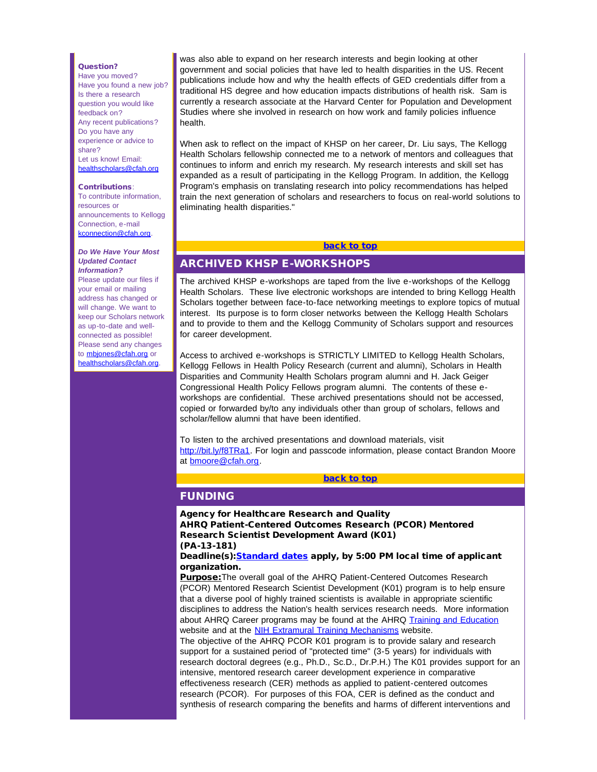#### Question?

<span id="page-1-0"></span>Have you moved? Have you found a new job? Is there a research question you would like feedback on? Any recent publications? Do you have any experience or advice to share? Let us know! Email: [healthscholars@cfah.org](mailto:healthscholars@cfah.org)

#### Contributions:

To contribute information, resources or announcements to Kellogg Connection, e-mail [kconnection@cfah.org.](mailto:kconnection@cfah.org)

#### *Do We Have Your Most Updated Contact Information?*

<span id="page-1-1"></span>Please update our files if your email or mailing address has changed or will change. We want to keep our Scholars network as up-to-date and wellconnected as possible! Please send any changes to [mbjones@cfah.org](mailto:mbjones@cfah.org) or [healthscholars@cfah.org.](mailto:healthscholars@cfah.org)

was also able to expand on her research interests and begin looking at other government and social policies that have led to health disparities in the US. Recent publications include how and why the health effects of GED credentials differ from a traditional HS degree and how education impacts distributions of health risk. Sam is currently a research associate at the Harvard Center for Population and Development Studies where she involved in research on how work and family policies influence health.

When ask to reflect on the impact of KHSP on her career, Dr. Liu says, The Kellogg Health Scholars fellowship connected me to a network of mentors and colleagues that continues to inform and enrich my research. My research interests and skill set has expanded as a result of participating in the Kellogg Program. In addition, the Kellogg Program's emphasis on translating research into policy recommendations has helped train the next generation of scholars and researchers to focus on real-world solutions to eliminating health disparities."

# [back to top](#page-0-4)

# ARCHIVED KHSP E-WORKSHOPS

The archived KHSP e-workshops are taped from the live e-workshops of the Kellogg Health Scholars. These live electronic workshops are intended to bring Kellogg Health Scholars together between face-to-face networking meetings to explore topics of mutual interest. Its purpose is to form closer networks between the Kellogg Health Scholars and to provide to them and the Kellogg Community of Scholars support and resources for career development.

Access to archived e-workshops is STRICTLY LIMITED to Kellogg Health Scholars, Kellogg Fellows in Health Policy Research (current and alumni), Scholars in Health Disparities and Community Health Scholars program alumni and H. Jack Geiger Congressional Health Policy Fellows program alumni. The contents of these eworkshops are confidential. These archived presentations should not be accessed, copied or forwarded by/to any individuals other than group of scholars, fellows and scholar/fellow alumni that have been identified.

To listen to the archived presentations and download materials, visit [http://bit.ly/f8TRa1.](http://r20.rs6.net/tn.jsp?e=001P_Rv0lTHjdla5ufEz1R-1xnf-NU310nQpjZ1A_ope-v_gobDZg3AiIcfYbCvh4ThDdLEYuFt5cLZaIODE129ewnr4NCLbv5BOhh39en_VWYR270OjWhQU_zuMPC2nFKHdhX9G8AqAzTQl_I5RloChjhVKddllUlr1I2JyvhIAbnzlFoY2-65Re1iXNL714ANo3ZtV-5C6QGk2KDpfrxpZpRoucl8_DYj_QxDw7wTWUmQ-ZUpxLIQQJZm1hDH0WmRs_Qcm-xO4tU=) For login and passcode information, please contact Brandon Moore at [bmoore@cfah.org.](mailto:bmoore@cfah.org)

#### [back to top](#page-0-4)

# FUNDING

Agency for Healthcare Research and Quality AHRQ Patient-Centered Outcomes Research (PCOR) Mentored Research Scientist Development Award (K01) (PA-13-181)

Deadline(s): [Standard dates](http://r20.rs6.net/tn.jsp?e=001P_Rv0lTHjdnA4ZcysXb0bEN40GLpgvaVzlFyJ3lf-WvzojDGV5qPuVoTUhB7vd2tWSeEDiT2mK_wFv1mP2pdJhJaycRXZouI8ARc6IA-hdue1cVWIxKXMmtVXWL0ooNpEaYvwz4bnGRUWWdw_R3_pUSvvbf_AQLZj7pbk449DB8lOSjXj9rX0dPxj0nOAzoWA2ZneWEq8851_U1EgIVp_4Fcw2fNYLoqMd3_-ywFurjb6g8ygozeDoDT_b5bk86ZtPB6wZTJvdDuPAni_niSeQCma4kW7CisXlCt0-VSEIc=) apply, by 5:00 PM local time of applicant organization.

Purpose: The overall goal of the AHRQ Patient-Centered Outcomes Research (PCOR) Mentored Research Scientist Development (K01) program is to help ensure that a diverse pool of highly trained scientists is available in appropriate scientific disciplines to address the Nation's health services research needs. More information about AHRQ Career programs may be found at the AHRQ [Training and Education](http://r20.rs6.net/tn.jsp?e=001P_Rv0lTHjdlKGwOhheTEReq05i0iL4mu0I4DoY9ku7Pl04MZMU2okOqng6S75KWvF8eaacTz6f2vTt_ZrIGYsUit3ewSbsODZ4qAHyJcTwQB8XkZGYGgFz0Nfj9Rpa9D3m7bMK48UOgAdpp_StxP7ogwU3B9zXlLoudxl65Xm44c1Pl5Aw8c7ryC05RgTnCJyLnm6hoSB3tx-1QFmaoNELhflfLVqmnyzuaSTpyB37vevn4PTOB8DhnclPAeXVehF0uPmPM_yLbu0dkGQVne_g==) website and at the [NIH Extramural Training Mechanisms](http://r20.rs6.net/tn.jsp?e=001P_Rv0lTHjdnEKh2jUwTk6_nzLq4MwXa9QpWDxrgCG46wfhgpad8tScH51kk1bCQP0WUGteL0h2Tj_HXp8yNEyGIBQF6Am4Ygnzoi2p8SOiXVoBOKSPlPDggGgpGRYUrHXfNJuDEpAhrOcT506p0Y7y0Ni96r6pD9tOr61FW2VqtZK37x0mU_v9tAmPdbwsMqPZ1ft9LRFEI7xxtOZg8ohOmSXmB-JzdHwX2uYr2KDtO6h2cGQMFtCpUfCyWTLb4jBzyA9gHKjZSLJKRf9Pnsmmp3LjSygmPA_thObzSsAXg=) website.

The objective of the AHRQ PCOR K01 program is to provide salary and research support for a sustained period of "protected time" (3-5 years) for individuals with research doctoral degrees (e.g., Ph.D., Sc.D., Dr.P.H.) The K01 provides support for an intensive, mentored research career development experience in comparative effectiveness research (CER) methods as applied to patient-centered outcomes research (PCOR). For purposes of this FOA, CER is defined as the conduct and synthesis of research comparing the benefits and harms of different interventions and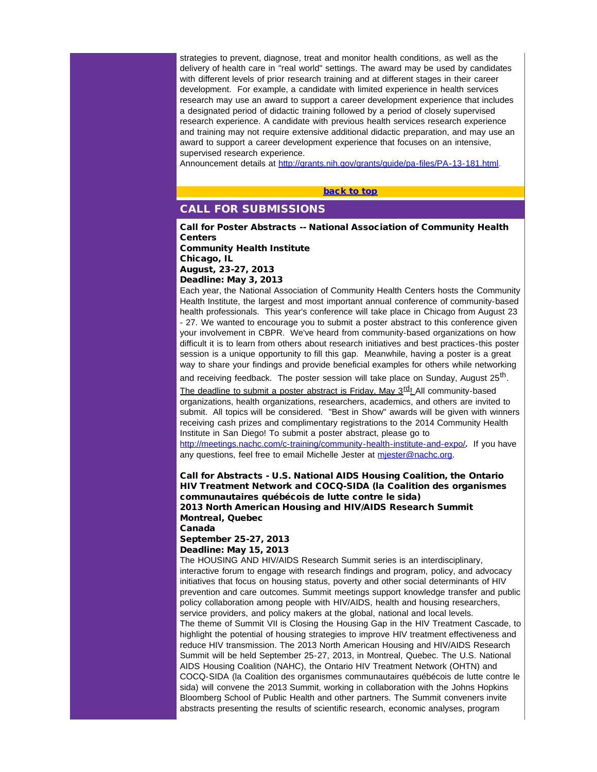<span id="page-2-0"></span>strategies to prevent, diagnose, treat and monitor health conditions, as well as the delivery of health care in "real world" settings. The award may be used by candidates with different levels of prior research training and at different stages in their career development. For example, a candidate with limited experience in health services research may use an award to support a career development experience that includes a designated period of didactic training followed by a period of closely supervised research experience. A candidate with previous health services research experience and training may not require extensive additional didactic preparation, and may use an award to support a career development experience that focuses on an intensive, supervised research experience.

Announcement details at [http://grants.nih.gov/grants/guide/pa-files/PA-13-181.html.](http://r20.rs6.net/tn.jsp?e=001P_Rv0lTHjdmIsOR_JJop_f2ya64SmNE-FqyPHkv7jb7pj1pdgLAQQq_PFkxLZbyLsdB2H4yRHjE9ADbmkrPx4DZikN23-n3hlioBJn4lvSirkRz0WmWBQD00RTBsj_xFC5SGrmhvie0ZFgU_sj3SJHGSKiNuD8-5QGMMOA1XAyvmkEei6w7YWsAE-mcTcqIcWJKdtajfql1Uxkgi0yeRLaNyTDLUbb5easUwHc1I78XzW8oL-7rhCCLqMEM0oX3nZy8FgTiB3fm1l0t2gC0xR7mUs1973F7h)

### [back to top](#page-0-4)

# CALL FOR SUBMISSIONS

Call for Poster Abstracts -- National Association of Community Health **Centers** 

Community Health Institute Chicago, IL August, 23-27, 2013

Deadline: May 3, 2013

Each year, the National Association of Community Health Centers hosts the Community Health Institute, the largest and most important annual conference of community-based health professionals. This year's conference will take place in Chicago from August 23 - 27. We wanted to encourage you to submit a poster abstract to this conference given your involvement in CBPR. We've heard from community-based organizations on how difficult it is to learn from others about research initiatives and best practices-this poster session is a unique opportunity to fill this gap. Meanwhile, having a poster is a great way to share your findings and provide beneficial examples for others while networking

and receiving feedback. The poster session will take place on Sunday, August 25<sup>th</sup>.

The deadline to submit a poster abstract is Friday, May  $3^{\text{rd}}$ . All community-based organizations, health organizations, researchers, academics, and others are invited to submit. All topics will be considered. "Best in Show" awards will be given with winners receiving cash prizes and complimentary registrations to the 2014 Community Health Institute in San Diego! To submit a poster abstract, please go to

[http://meetings.nachc.com/c-training/community-health-institute-and-expo/](http://r20.rs6.net/tn.jsp?e=001P_Rv0lTHjdnZK7pKbjTak1eK2uqIGL6BMt5sYfWAqND43pUTgcaJS-m8OwoswruYidnNLEdmrjiy0M2XDaPh1v8HmdhQYoSLp6WLXKePfiNxU3eoogQqr5hcNoFKhVClXdh7pnx0GU36-XxC2zpYgPOAEDa-PZ6E8mO5K_meLPFZCZzukOpX8LABVO2v24DRZWMyZxL6JJm7QqObg1oG_W6MQvORFQeoBsMbfxm5D1UbomWLumXy0Iw97_86lOycpJIMnngP8BD21BAMrFsAdEZrE4mGV3c--MXMLIxx7BeSxAxwZQ0I5g==)*.* If you have any questions, feel free to email Michelle Jester at miester@nachc.org.

Call for Abstracts - U.S. National AIDS Housing Coalition, the Ontario HIV Treatment Network and COCQ-SIDA (la Coalition des organismes communautaires québécois de lutte contre le sida) 2013 North American Housing and HIV/AIDS Research Summit Montreal, Quebec

Canada

#### September 25-27, 2013 Deadline: May 15, 2013

The HOUSING AND HIV/AIDS Research Summit series is an interdisciplinary, interactive forum to engage with research findings and program, policy, and advocacy initiatives that focus on housing status, poverty and other social determinants of HIV prevention and care outcomes. Summit meetings support knowledge transfer and public policy collaboration among people with HIV/AIDS, health and housing researchers. service providers, and policy makers at the global, national and local levels. The theme of Summit VII is Closing the Housing Gap in the HIV Treatment Cascade, to highlight the potential of housing strategies to improve HIV treatment effectiveness and reduce HIV transmission. The 2013 North American Housing and HIV/AIDS Research Summit will be held September 25-27, 2013, in Montreal, Quebec. The U.S. National AIDS Housing Coalition (NAHC), the Ontario HIV Treatment Network (OHTN) and COCQ-SIDA (la Coalition des organismes communautaires québécois de lutte contre le sida) will convene the 2013 Summit, working in collaboration with the Johns Hopkins Bloomberg School of Public Health and other partners. The Summit conveners invite abstracts presenting the results of scientific research, economic analyses, program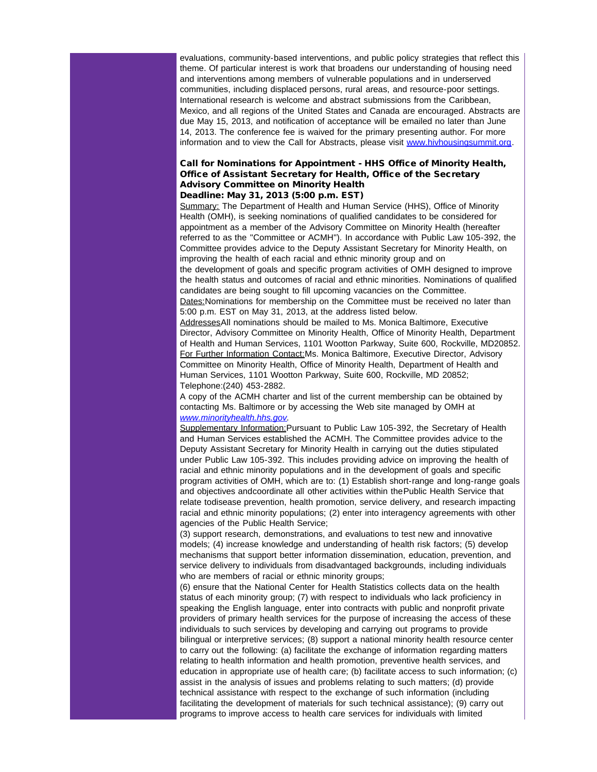evaluations, community-based interventions, and public policy strategies that reflect this theme. Of particular interest is work that broadens our understanding of housing need and interventions among members of vulnerable populations and in underserved communities, including displaced persons, rural areas, and resource-poor settings. International research is welcome and abstract submissions from the Caribbean, Mexico, and all regions of the United States and Canada are encouraged. Abstracts are due May 15, 2013, and notification of acceptance will be emailed no later than June 14, 2013. The conference fee is waived for the primary presenting author. For more information and to view the Call for Abstracts, please visit [www.hivhousingsummit.org](http://r20.rs6.net/tn.jsp?e=001P_Rv0lTHjdnZnqy_CC0n704wwkguiUIB_MQLMor7icnxVw5ALQ2m4NZuJiX06hjgPRDB6MHOG8DeYnDB2jfxL2GlJTP1-KaaPyNfNiOjfZ0BwHH8TsUn2Ub-Qf-BGxWSbqhc-EH_c1Uwjm0st8kq7NyiIv9seSkH9Gee6tXuNt85uWhRjlJVvG_MLil_a_q7FciWOTLuc_rTOFlCiLwlDyfHiY3_tFtB8vh9F_ZDco5K7TJOv6a71A==).

### Call for Nominations for Appointment - HHS Office of Minority Health, Office of Assistant Secretary for Health, Office of the Secretary Advisory Committee on Minority Health Deadline: May 31, 2013 (5:00 p.m. EST)

Summary: The Department of Health and Human Service (HHS), Office of Minority Health (OMH), is seeking nominations of qualified candidates to be considered for appointment as a member of the Advisory Committee on Minority Health (hereafter referred to as the ''Committee or ACMH''). In accordance with Public Law 105-392, the Committee provides advice to the Deputy Assistant Secretary for Minority Health, on improving the health of each racial and ethnic minority group and on the development of goals and specific program activities of OMH designed to improve the health status and outcomes of racial and ethnic minorities. Nominations of qualified candidates are being sought to fill upcoming vacancies on the Committee. Dates:Nominations for membership on the Committee must be received no later than 5:00 p.m. EST on May 31, 2013, at the address listed below.

AddressesAll nominations should be mailed to Ms. Monica Baltimore, Executive Director, Advisory Committee on Minority Health, Office of Minority Health, Department of Health and Human Services, 1101 Wootton Parkway, Suite 600, Rockville, MD20852. For Further Information Contact:Ms. Monica Baltimore, Executive Director, Advisory Committee on Minority Health, Office of Minority Health, Department of Health and Human Services, 1101 Wootton Parkway, Suite 600, Rockville, MD 20852; Telephone:(240) 453-2882.

A copy of the ACMH charter and list of the current membership can be obtained by contacting Ms. Baltimore or by accessing the Web site managed by OMH at *[www.minorityhealth.hhs.gov.](http://r20.rs6.net/tn.jsp?e=001P_Rv0lTHjdkfSLqrQifPXj_97zmwblVDyk4EzBV9KdR0qHE3qaXPMAYsZLckBZnOfWmbWKRyyOSn08NJIuzyTH3irSuUp29SiSCkxK17HVR4U9LRKlrB3RIoITJmsZ33WpEhpknBtHIUmcfA0lg1mdFx7HJOGr8juNKDIvvqKv6zn20H3c12hXOWUanoCGHmviakNccfM6lqM8hx9YaQqgGwpZ3GvhXd6iLJn4dMtuOtm3vm0ulzJdiL0WF7vGB9)*

Supplementary Information: Pursuant to Public Law 105-392, the Secretary of Health and Human Services established the ACMH. The Committee provides advice to the Deputy Assistant Secretary for Minority Health in carrying out the duties stipulated under Public Law 105-392. This includes providing advice on improving the health of racial and ethnic minority populations and in the development of goals and specific program activities of OMH, which are to: (1) Establish short-range and long-range goals and objectives andcoordinate all other activities within thePublic Health Service that relate todisease prevention, health promotion, service delivery, and research impacting racial and ethnic minority populations; (2) enter into interagency agreements with other agencies of the Public Health Service;

(3) support research, demonstrations, and evaluations to test new and innovative models; (4) increase knowledge and understanding of health risk factors; (5) develop mechanisms that support better information dissemination, education, prevention, and service delivery to individuals from disadvantaged backgrounds, including individuals who are members of racial or ethnic minority groups;

(6) ensure that the National Center for Health Statistics collects data on the health status of each minority group; (7) with respect to individuals who lack proficiency in speaking the English language, enter into contracts with public and nonprofit private providers of primary health services for the purpose of increasing the access of these individuals to such services by developing and carrying out programs to provide bilingual or interpretive services; (8) support a national minority health resource center to carry out the following: (a) facilitate the exchange of information regarding matters relating to health information and health promotion, preventive health services, and education in appropriate use of health care; (b) facilitate access to such information; (c) assist in the analysis of issues and problems relating to such matters; (d) provide technical assistance with respect to the exchange of such information (including facilitating the development of materials for such technical assistance); (9) carry out programs to improve access to health care services for individuals with limited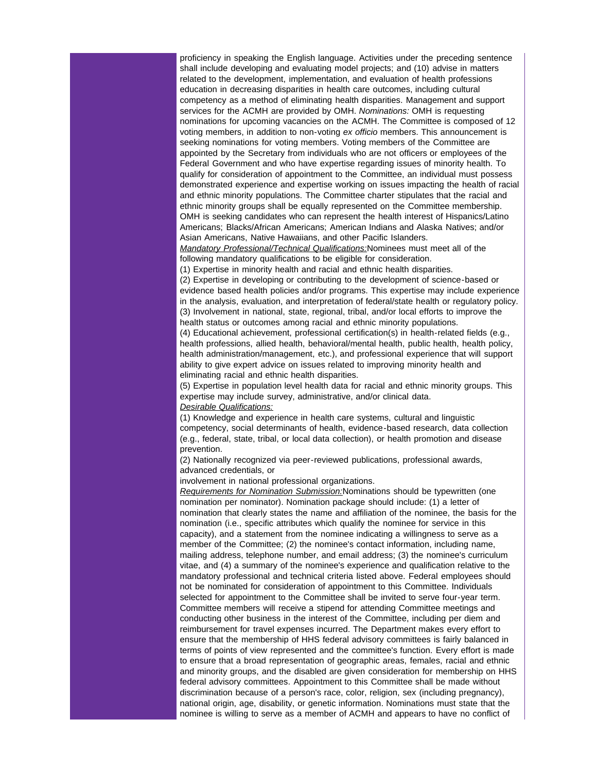proficiency in speaking the English language. Activities under the preceding sentence shall include developing and evaluating model projects; and (10) advise in matters related to the development, implementation, and evaluation of health professions education in decreasing disparities in health care outcomes, including cultural competency as a method of eliminating health disparities. Management and support services for the ACMH are provided by OMH. *Nominations:* OMH is requesting nominations for upcoming vacancies on the ACMH. The Committee is composed of 12 voting members, in addition to non-voting *ex officio* members. This announcement is seeking nominations for voting members. Voting members of the Committee are appointed by the Secretary from individuals who are not officers or employees of the Federal Government and who have expertise regarding issues of minority health. To qualify for consideration of appointment to the Committee, an individual must possess demonstrated experience and expertise working on issues impacting the health of racial and ethnic minority populations. The Committee charter stipulates that the racial and ethnic minority groups shall be equally represented on the Committee membership. OMH is seeking candidates who can represent the health interest of Hispanics/Latino Americans; Blacks/African Americans; American Indians and Alaska Natives; and/or Asian Americans, Native Hawaiians, and other Pacific Islanders.

*Mandatory Professional/Technical Qualifications:*Nominees must meet all of the following mandatory qualifications to be eligible for consideration.

(1) Expertise in minority health and racial and ethnic health disparities.

(2) Expertise in developing or contributing to the development of science-based or evidence based health policies and/or programs. This expertise may include experience in the analysis, evaluation, and interpretation of federal/state health or regulatory policy. (3) Involvement in national, state, regional, tribal, and/or local efforts to improve the health status or outcomes among racial and ethnic minority populations.

(4) Educational achievement, professional certification(s) in health-related fields (e.g., health professions, allied health, behavioral/mental health, public health, health policy, health administration/management, etc.), and professional experience that will support ability to give expert advice on issues related to improving minority health and eliminating racial and ethnic health disparities.

(5) Expertise in population level health data for racial and ethnic minority groups. This expertise may include survey, administrative, and/or clinical data.

### *Desirable Qualifications:*

(1) Knowledge and experience in health care systems, cultural and linguistic competency, social determinants of health, evidence-based research, data collection (e.g., federal, state, tribal, or local data collection), or health promotion and disease prevention.

(2) Nationally recognized via peer-reviewed publications, professional awards, advanced credentials, or

involvement in national professional organizations.

*Requirements for Nomination Submission:*Nominations should be typewritten (one nomination per nominator). Nomination package should include: (1) a letter of nomination that clearly states the name and affiliation of the nominee, the basis for the nomination (i.e., specific attributes which qualify the nominee for service in this capacity), and a statement from the nominee indicating a willingness to serve as a member of the Committee; (2) the nominee's contact information, including name, mailing address, telephone number, and email address; (3) the nominee's curriculum vitae, and (4) a summary of the nominee's experience and qualification relative to the mandatory professional and technical criteria listed above. Federal employees should not be nominated for consideration of appointment to this Committee. Individuals selected for appointment to the Committee shall be invited to serve four-year term. Committee members will receive a stipend for attending Committee meetings and conducting other business in the interest of the Committee, including per diem and reimbursement for travel expenses incurred. The Department makes every effort to ensure that the membership of HHS federal advisory committees is fairly balanced in terms of points of view represented and the committee's function. Every effort is made to ensure that a broad representation of geographic areas, females, racial and ethnic and minority groups, and the disabled are given consideration for membership on HHS federal advisory committees. Appointment to this Committee shall be made without discrimination because of a person's race, color, religion, sex (including pregnancy), national origin, age, disability, or genetic information. Nominations must state that the nominee is willing to serve as a member of ACMH and appears to have no conflict of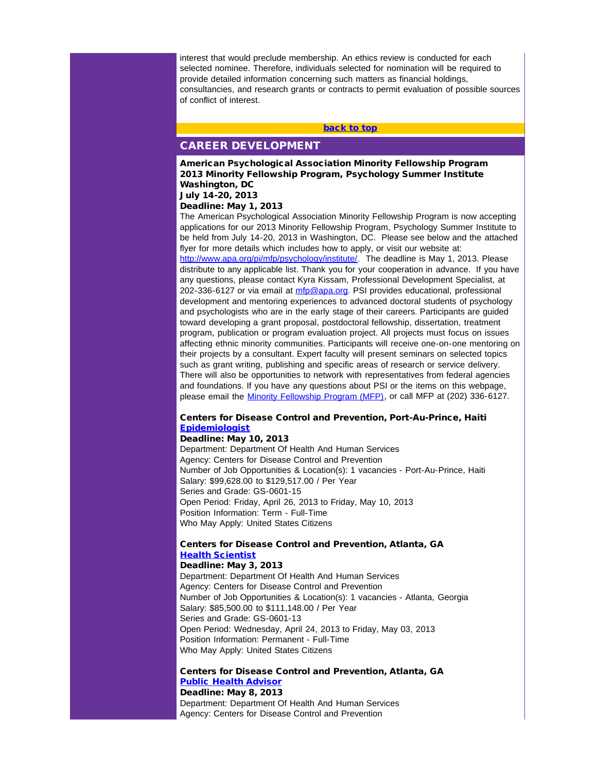<span id="page-5-0"></span>interest that would preclude membership. An ethics review is conducted for each selected nominee. Therefore, individuals selected for nomination will be required to provide detailed information concerning such matters as financial holdings, consultancies, and research grants or contracts to permit evaluation of possible sources of conflict of interest.

# [back to top](#page-0-4) CAREER DEVELOPMENT

American Psychological Association Minority Fellowship Program 2013 Minority Fellowship Program, Psychology Summer Institute Washington, DC July 14-20, 2013

#### Deadline: May 1, 2013

The American Psychological Association Minority Fellowship Program is now accepting applications for our 2013 Minority Fellowship Program, Psychology Summer Institute to be held from July 14-20, 2013 in Washington, DC. Please see below and the attached flyer for more details which includes how to apply, or visit our website at: [http://www.apa.org/pi/mfp/psychology/institute/](http://r20.rs6.net/tn.jsp?e=001P_Rv0lTHjdl-qhXyA4tgFFwxQfffKUOpa2BeBwdrETr3cueME4qO9E8z8GOA2_B3RMmpha4-8GGoqlqj5OUzFXbYNKysN4Bz4OOSZYIHoQdQWib0pIuWhgotTqxAcbtfhPrIHzkLDAfdusKdmA0PBIUG0rHEw0S8ELcbHiHdIP6bilg_n5H4bCRx9VIzl3XcORwdl5oZ5STUV2MZ1I3viq2YJ8Sw3NZEiwX8dnxV0VynteLoz5-uAiPRObvgn7_BQL6m8tH5wP8INePX235Wlw==). The deadline is May 1, 2013. Please distribute to any applicable list. Thank you for your cooperation in advance. If you have any questions, please contact Kyra Kissam, Professional Development Specialist, at 202-336-6127 or via email at [mfp@apa.org.](mailto:mfp@apa.org) PSI provides educational, professional development and mentoring experiences to advanced doctoral students of psychology and psychologists who are in the early stage of their careers. Participants are guided toward developing a grant proposal, postdoctoral fellowship, dissertation, treatment program, publication or program evaluation project. All projects must focus on issues affecting ethnic minority communities. Participants will receive one-on-one mentoring on their projects by a consultant. Expert faculty will present seminars on selected topics such as grant writing, publishing and specific areas of research or service delivery. There will also be opportunities to network with representatives from federal agencies and foundations. If you have any questions about PSI or the items on this webpage, please email the [Minority Fellowship Program \(MFP\)](mailto:mfp@apa.org), or call MFP at (202) 336-6127.

## Centers for Disease Control and Prevention, Port-Au-Prince, Haiti [Epidemiologist](http://r20.rs6.net/tn.jsp?e=001P_Rv0lTHjdmzZPEN7c7vUDZpv6hpDnzpg2MlEEEZRuqqiOhWooaGpRNAnVACqdTgBFL8N3_47SRV6ciZ54oSZMwJRCkBIr7XJy_CCC8YkisWfKafkwMX3yTOby7l-aOHU1qDI4exWlN5IbW3KcMhjWfFAd17cDiMH00VjeddkOcALBJ-kGRYlTvTUCBJwh__kEY5KRpJ2ux9hZaZoxdn9H6Kpi9AbOuE60a6fbyYv0A0-mGEiFuWbJ6IRtQtMHwqCQenUEoySAWGqk9QHN73zg==)

### Deadline: May 10, 2013

Department: Department Of Health And Human Services Agency: Centers for Disease Control and Prevention Number of Job Opportunities & Location(s): 1 vacancies - Port-Au-Prince, Haiti Salary: \$99,628.00 to \$129,517.00 / Per Year Series and Grade: GS-0601-15 Open Period: Friday, April 26, 2013 to Friday, May 10, 2013 Position Information: Term - Full-Time Who May Apply: United States Citizens

#### Centers for Disease Control and Prevention, Atlanta, GA [Health Scientist](http://r20.rs6.net/tn.jsp?e=001P_Rv0lTHjdkVJ5ZwflG13CiUB1BzfHtDsk80m5BTF_fv9QjaUe_EdmnORRA3ekP7txgCRx7KIDfgnCGVTLSHYLfSElK2X6vDZYmGO2xSAYA0rI7hxqhR5rTZh5wX7MAPSGhsbKY9DJWpGPSva44_D4Axs8MrvHIb6smxLclbNHGQnOX7s2UJ8mArpIEhl1PqNl6MuPAwhs67B9GYRcnKVKxnrEYokLd9b5mDT8u4Iz8LI_rgXUjldoKepg2TpeWYN5g2HUgBNeDunIulz_IqPQ==)

#### Deadline: May 3, 2013

Department: Department Of Health And Human Services Agency: Centers for Disease Control and Prevention Number of Job Opportunities & Location(s): 1 vacancies - Atlanta, Georgia Salary: \$85,500.00 to \$111,148.00 / Per Year Series and Grade: GS-0601-13 Open Period: Wednesday, April 24, 2013 to Friday, May 03, 2013 Position Information: Permanent - Full-Time Who May Apply: United States Citizens

#### Centers for Disease Control and Prevention, Atlanta, GA [Public Health Advisor](http://r20.rs6.net/tn.jsp?e=001P_Rv0lTHjdnU-t-hHXZW-gAmHnNubkvjob0X-YyRKdtLLsOXHWhIjvLUDpPMxuBk7tMrE7ebJ0XfP12GJ1J2rWYN7mMQQIQzQUH0TKgWbOFiNP978_MueL1TOXPI_fK01IKCM7MT6rYYifwGhhMk9IXfgLo5yx4BVIwwWh07giPlrFiwG4-HlDciMZMAhkptz2h1_-wBeL2UnvCEEJM6ZdgFwCO5aNFzC3CMogvyDLjKoRUMQTDvyaL8RBUpCpqGkFBgAezVCvWgYGfPXVyq7g==) Deadline: May 8, 2013

Department: Department Of Health And Human Services Agency: Centers for Disease Control and Prevention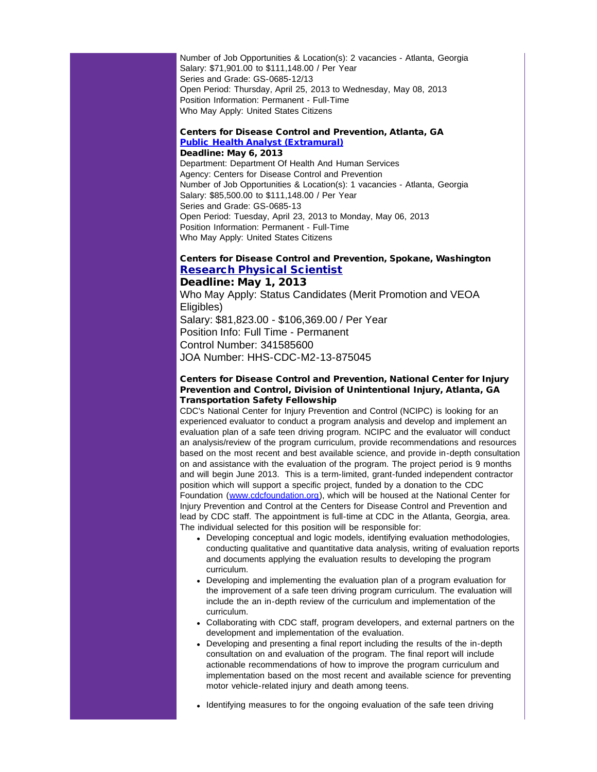Number of Job Opportunities & Location(s): 2 vacancies - Atlanta, Georgia Salary: \$71,901.00 to \$111,148.00 / Per Year Series and Grade: GS-0685-12/13 Open Period: Thursday, April 25, 2013 to Wednesday, May 08, 2013 Position Information: Permanent - Full-Time Who May Apply: United States Citizens

#### Centers for Disease Control and Prevention, Atlanta, GA [Public Health Analyst \(Extramural\)](http://r20.rs6.net/tn.jsp?e=001P_Rv0lTHjdlqW2BgFMcmRwR2PdDM56-TRQzq_OoojeIn8haf9_f6olUIaZlusniwqVGzzxF2K70-WCI8tww5K7UocU0jb6cWJYBic1b8dNuCKMOKyMzt7EvOmS06VVt64JoW-ACM1HcdEJqKRuvcu6imzTRuyvvVqyqYJcusNlQfvXB1rw7cLiDA2r-qG2Bl3SkSGzBEaoMg3_RhcoY9MoWk8rj8y3jwjJ2NntK9kaOO8KuXQD6uNRNZjTjPh6s7Tx0cJ0Tt0SneRcXIfOmC-g==) Deadline: May 6, 2013

Department: Department Of Health And Human Services Agency: Centers for Disease Control and Prevention Number of Job Opportunities & Location(s): 1 vacancies - Atlanta, Georgia Salary: \$85,500.00 to \$111,148.00 / Per Year Series and Grade: GS-0685-13 Open Period: Tuesday, April 23, 2013 to Monday, May 06, 2013 Position Information: Permanent - Full-Time Who May Apply: United States Citizens

# Centers for Disease Control and Prevention, Spokane, Washington [Research Physical Scientist](http://r20.rs6.net/tn.jsp?e=001P_Rv0lTHjdlukJXZkKnlFa5FtAiBsC80YW4cuXXjeTyqHrmisB1XDvQ_j4vlcfU57hS_-xm3dEyJgk-QKOfPhmLGXvhu4JoMYy7sOIc8SfNza-23MM8eRy4q0OVgY8lHj4vEOTjzfA5xYu98Kmd8RT-DDkB01pKD4zaUWMG9uYIXX5EwBTcUNLKj0Mwz94ADy_6ek5aAkKK3ELZSYvYPxz1FZYbMT7sCPUyGXgh2cJs-EhrlYpiEWFvRXI7CjkxPpLG_Crcq3fztpsrm-fSNYQ==)

# Deadline: May 1, 2013

Who May Apply: Status Candidates (Merit Promotion and VEOA Eligibles) Salary: \$81,823.00 - \$106,369.00 / Per Year Position Info: Full Time - Permanent Control Number: 341585600 JOA Number: HHS-CDC-M2-13-875045

## Centers for Disease Control and Prevention, National Center for Injury Prevention and Control, Division of Unintentional Injury, Atlanta, GA Transportation Safety Fellowship

CDC's National Center for Injury Prevention and Control (NCIPC) is looking for an experienced evaluator to conduct a program analysis and develop and implement an evaluation plan of a safe teen driving program. NCIPC and the evaluator will conduct an analysis/review of the program curriculum, provide recommendations and resources based on the most recent and best available science, and provide in-depth consultation on and assistance with the evaluation of the program. The project period is 9 months and will begin June 2013. This is a term-limited, grant-funded independent contractor position which will support a specific project, funded by a donation to the CDC Foundation [\(www.cdcfoundation.org](http://r20.rs6.net/tn.jsp?e=001P_Rv0lTHjdkd360L4lJGQo8RdSSfbO9hBrZl4A8CxCAE9YBQaboFoMr_oV_3WwzT1P4yk7knT7SlMyy6bOJP7rB28X323iLG8TXix32zNVEhg5e_ilQhjH5Jmhx5Z-xiNwyp_nwGEKLynrYFI4T8xbbqV_wzf6NlHeTlEDz109upFVyh6uiVAwntPW-pVPnI8P4jgOucDmiPAbQhsLkuS9iAuY7XahBhJDyVkEkWvUDGpBRW4-5Hmg==)), which will be housed at the National Center for Injury Prevention and Control at the Centers for Disease Control and Prevention and lead by CDC staff. The appointment is full-time at CDC in the Atlanta, Georgia, area. The individual selected for this position will be responsible for:

- Developing conceptual and logic models, identifying evaluation methodologies, conducting qualitative and quantitative data analysis, writing of evaluation reports and documents applying the evaluation results to developing the program curriculum.
- Developing and implementing the evaluation plan of a program evaluation for the improvement of a safe teen driving program curriculum. The evaluation will include the an in-depth review of the curriculum and implementation of the curriculum.
- Collaborating with CDC staff, program developers, and external partners on the development and implementation of the evaluation.
- Developing and presenting a final report including the results of the in-depth consultation on and evaluation of the program. The final report will include actionable recommendations of how to improve the program curriculum and implementation based on the most recent and available science for preventing motor vehicle-related injury and death among teens.
- Identifying measures to for the ongoing evaluation of the safe teen driving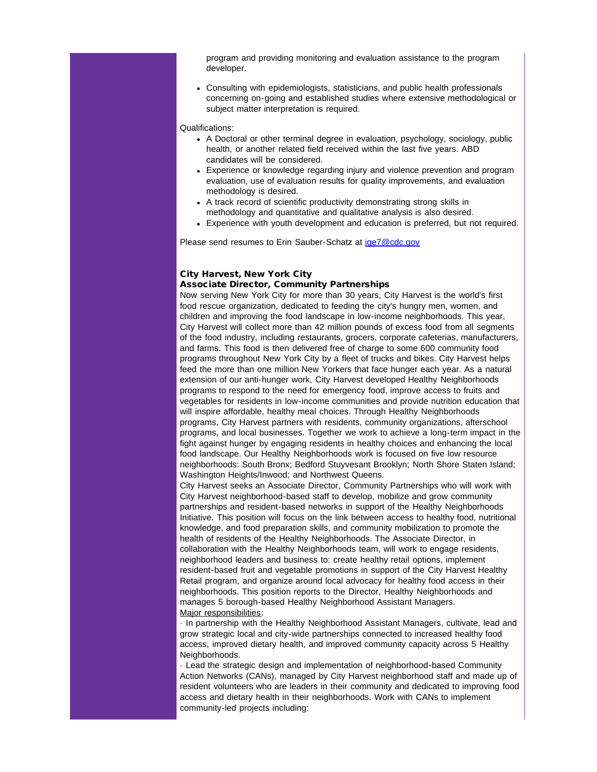program and providing monitoring and evaluation assistance to the program developer.

Consulting with epidemiologists, statisticians, and public health professionals concerning on-going and established studies where extensive methodological or subject matter interpretation is required.

#### Qualifications:

- A Doctoral or other terminal degree in evaluation, psychology, sociology, public health, or another related field received within the last five years. ABD candidates will be considered.
- Experience or knowledge regarding injury and violence prevention and program evaluation, use of evaluation results for quality improvements, and evaluation methodology is desired.
- A track record of scientific productivity demonstrating strong skills in methodology and quantitative and qualitative analysis is also desired.
- Experience with youth development and education is preferred, but not required.

Please send resumes to Erin Sauber-Schatz at [ige7@cdc.gov](mailto:ige7@cdc.gov)

## City Harvest, New York City Associate Director, Community Partnerships

Now serving New York City for more than 30 years, City Harvest is the world's first food rescue organization, dedicated to feeding the city's hungry men, women, and children and improving the food landscape in low-income neighborhoods. This year, City Harvest will collect more than 42 million pounds of excess food from all segments of the food industry, including restaurants, grocers, corporate cafeterias, manufacturers, and farms. This food is then delivered free of charge to some 600 community food programs throughout New York City by a fleet of trucks and bikes. City Harvest helps feed the more than one million New Yorkers that face hunger each year. As a natural extension of our anti-hunger work, City Harvest developed Healthy Neighborhoods programs to respond to the need for emergency food, improve access to fruits and vegetables for residents in low-income communities and provide nutrition education that will inspire affordable, healthy meal choices. Through Healthy Neighborhoods programs, City Harvest partners with residents, community organizations, afterschool programs, and local businesses. Together we work to achieve a long-term impact in the fight against hunger by engaging residents in healthy choices and enhancing the local food landscape. Our Healthy Neighborhoods work is focused on five low resource neighborhoods: South Bronx; Bedford Stuyvesant Brooklyn; North Shore Staten Island; Washington Heights/Inwood; and Northwest Queens.

City Harvest seeks an Associate Director, Community Partnerships who will work with City Harvest neighborhood-based staff to develop, mobilize and grow community partnerships and resident-based networks in support of the Healthy Neighborhoods Initiative. This position will focus on the link between access to healthy food, nutritional knowledge, and food preparation skills, and community mobilization to promote the health of residents of the Healthy Neighborhoods. The Associate Director, in collaboration with the Healthy Neighborhoods team, will work to engage residents, neighborhood leaders and business to: create healthy retail options, implement resident-based fruit and vegetable promotions in support of the City Harvest Healthy Retail program, and organize around local advocacy for healthy food access in their neighborhoods. This position reports to the Director, Healthy Neighborhoods and manages 5 borough-based Healthy Neighborhood Assistant Managers. Major responsibilities:

· In partnership with the Healthy Neighborhood Assistant Managers, cultivate, lead and grow strategic local and city-wide partnerships connected to increased healthy food access, improved dietary health, and improved community capacity across 5 Healthy Neighborhoods.

· Lead the strategic design and implementation of neighborhood-based Community Action Networks (CANs), managed by City Harvest neighborhood staff and made up of resident volunteers who are leaders in their community and dedicated to improving food access and dietary health in their neighborhoods. Work with CANs to implement community-led projects including: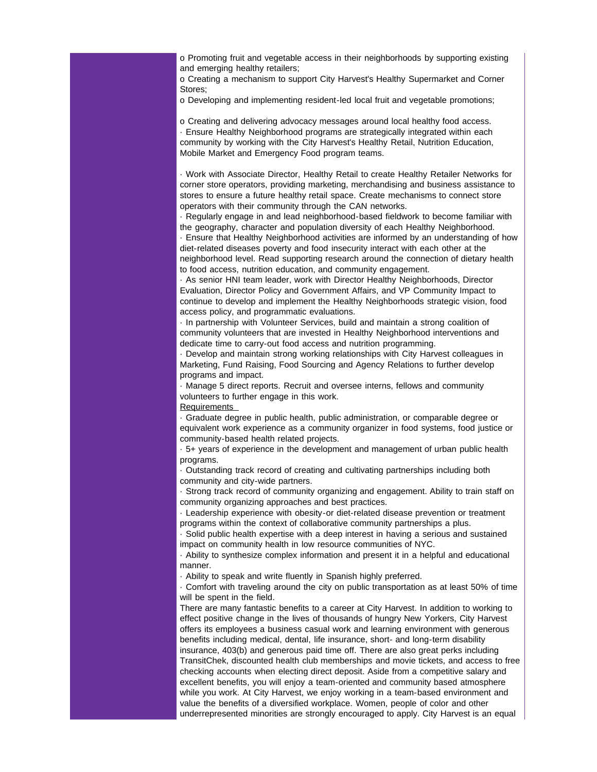o Promoting fruit and vegetable access in their neighborhoods by supporting existing and emerging healthy retailers;

o Creating a mechanism to support City Harvest's Healthy Supermarket and Corner Stores;

o Developing and implementing resident-led local fruit and vegetable promotions;

o Creating and delivering advocacy messages around local healthy food access. · Ensure Healthy Neighborhood programs are strategically integrated within each community by working with the City Harvest's Healthy Retail, Nutrition Education, Mobile Market and Emergency Food program teams.

· Work with Associate Director, Healthy Retail to create Healthy Retailer Networks for corner store operators, providing marketing, merchandising and business assistance to stores to ensure a future healthy retail space. Create mechanisms to connect store operators with their community through the CAN networks.

· Regularly engage in and lead neighborhood-based fieldwork to become familiar with the geography, character and population diversity of each Healthy Neighborhood. · Ensure that Healthy Neighborhood activities are informed by an understanding of how diet-related diseases poverty and food insecurity interact with each other at the neighborhood level. Read supporting research around the connection of dietary health to food access, nutrition education, and community engagement.

· As senior HNI team leader, work with Director Healthy Neighborhoods, Director Evaluation, Director Policy and Government Affairs, and VP Community Impact to continue to develop and implement the Healthy Neighborhoods strategic vision, food access policy, and programmatic evaluations.

· In partnership with Volunteer Services, build and maintain a strong coalition of community volunteers that are invested in Healthy Neighborhood interventions and dedicate time to carry-out food access and nutrition programming.

· Develop and maintain strong working relationships with City Harvest colleagues in Marketing, Fund Raising, Food Sourcing and Agency Relations to further develop programs and impact.

· Manage 5 direct reports. Recruit and oversee interns, fellows and community volunteers to further engage in this work.

**Requirements** 

· Graduate degree in public health, public administration, or comparable degree or equivalent work experience as a community organizer in food systems, food justice or community-based health related projects.

· 5+ years of experience in the development and management of urban public health programs.

· Outstanding track record of creating and cultivating partnerships including both community and city-wide partners.

· Strong track record of community organizing and engagement. Ability to train staff on community organizing approaches and best practices.

· Leadership experience with obesity-or diet-related disease prevention or treatment programs within the context of collaborative community partnerships a plus.

· Solid public health expertise with a deep interest in having a serious and sustained impact on community health in low resource communities of NYC.

· Ability to synthesize complex information and present it in a helpful and educational manner.

· Ability to speak and write fluently in Spanish highly preferred.

· Comfort with traveling around the city on public transportation as at least 50% of time will be spent in the field.

There are many fantastic benefits to a career at City Harvest. In addition to working to effect positive change in the lives of thousands of hungry New Yorkers, City Harvest offers its employees a business casual work and learning environment with generous benefits including medical, dental, life insurance, short- and long-term disability insurance, 403(b) and generous paid time off. There are also great perks including TransitChek, discounted health club memberships and movie tickets, and access to free checking accounts when electing direct deposit. Aside from a competitive salary and excellent benefits, you will enjoy a team-oriented and community based atmosphere while you work. At City Harvest, we enjoy working in a team-based environment and value the benefits of a diversified workplace. Women, people of color and other underrepresented minorities are strongly encouraged to apply. City Harvest is an equal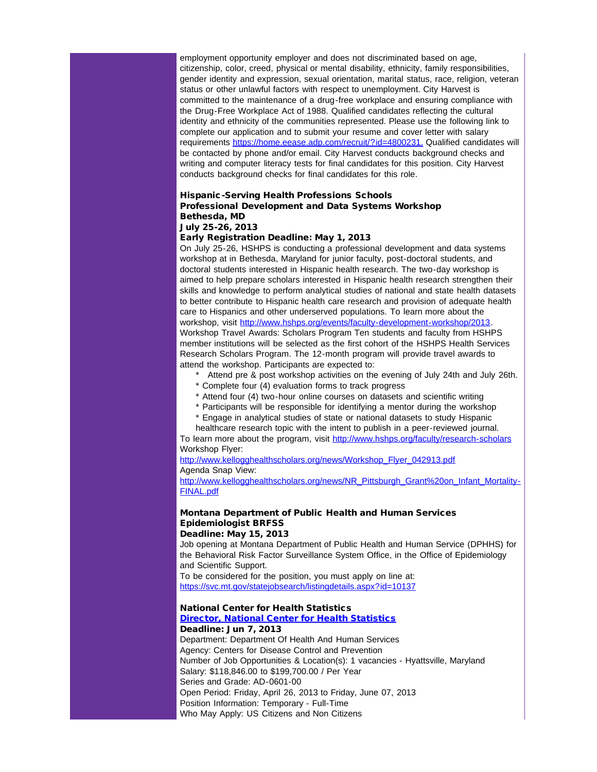employment opportunity employer and does not discriminated based on age, citizenship, color, creed, physical or mental disability, ethnicity, family responsibilities, gender identity and expression, sexual orientation, marital status, race, religion, veteran status or other unlawful factors with respect to unemployment. City Harvest is committed to the maintenance of a drug-free workplace and ensuring compliance with the Drug-Free Workplace Act of 1988. Qualified candidates reflecting the cultural identity and ethnicity of the communities represented. Please use the following link to complete our application and to submit your resume and cover letter with salary requirements [https://home.eease.adp.com/recruit/?id=4800231.](http://r20.rs6.net/tn.jsp?e=001P_Rv0lTHjdl15PTy9Rkcznn5rlyBCD_TZckOachTRg1ZVZhWRstDDK5MpEN4Sgjj6xWCDqFiWpRJn6cbE-YalZoUumq5U92G8aW6jil7RZhSbR-MV_j0q_9W5-p2PK-x3U5h80njQcvSMAjBdjVSqT1yW8u9LpAjQJ_xgODNFdJvubRtACQXizlDMQrD90wWJ6wynizvOR-KvIp1fhdoI1KvnXneFgq8Xu1r2wQLv5dcdhtw3vxZvQJZOTBqfZ2_tiPaQUzAPcV0msUDVgoFbA==) Qualified candidates will be contacted by phone and/or email. City Harvest conducts background checks and writing and computer literacy tests for final candidates for this position. City Harvest conducts background checks for final candidates for this role.

#### Hispanic-Serving Health Professions Schools Professional Development and Data Systems Workshop Bethesda, MD July 25-26, 2013

# Early Registration Deadline: May 1, 2013

On July 25-26, HSHPS is conducting a professional development and data systems workshop at in Bethesda, Maryland for junior faculty, post-doctoral students, and doctoral students interested in Hispanic health research. The two-day workshop is aimed to help prepare scholars interested in Hispanic health research strengthen their skills and knowledge to perform analytical studies of national and state health datasets to better contribute to Hispanic health care research and provision of adequate health care to Hispanics and other underserved populations. To learn more about the workshop, visit [http://www.hshps.org/events/faculty-development-workshop/2013](http://r20.rs6.net/tn.jsp?e=001P_Rv0lTHjdlrzxozCfIcU_Y7M9V_2uV83xWS1243Z-if85LCiAPL2RWfrb371ohFhAEi_T_Deg3psE5KNL81kuCSA77a6jaLtvQ3zdY7pDVrz5FuiI1BcAQApQtWsLH_K3zNDM6I4Gvp2JHaBmJ2rawd52ZQxjrfDkeleQaMa-UsTLlETCsiaqNgz8R6yKUxmABvFzDpohbUJewldlUrvjYbDHxW6z9eLkgDSFRzbBDWxiFXnPqWH5d_gWuiPHjDVrJHiQjQBAehZFpHVr-DlxunqwR20GmTGlcS5Hv_zkw=). Workshop Travel Awards: Scholars Program Ten students and faculty from HSHPS member institutions will be selected as the first cohort of the HSHPS Health Services Research Scholars Program. The 12-month program will provide travel awards to attend the workshop. Participants are expected to:

- \* Attend pre & post workshop activities on the evening of July 24th and July 26th.
- \* Complete four (4) evaluation forms to track progress
- \* Attend four (4) two-hour online courses on datasets and scientific writing
- Participants will be responsible for identifying a mentor during the workshop
- \* Engage in analytical studies of state or national datasets to study Hispanic healthcare research topic with the intent to publish in a peer-reviewed journal.

To learn more about the program, visit [http://www.hshps.org/faculty/research-scholars](http://r20.rs6.net/tn.jsp?e=001P_Rv0lTHjdlWQ-c4dlluHtcp_yeR5B1TsgyXym7DloDiH-i7oPItZwa6_nAyfYoFu09mk47LhzxB-17Wt6pb4SwAJ_H5yCHiGNBZQvh0O2HbKAzAk3YnKhXre7J26QjX-jqUaMm5_1jVMxvYQzQhvJ33q_XcrIYfmLwV5k9_9vZ-xEvKaC20th-e6vwUF1RzIC4HKa17OC3WgDL1yIEb6DpMdsfJT6H0_0AmNF1W3Z5CxKb8vh9F075KygW9JQ3P1EuUcplEJZo=) Workshop Flyer:

[http://www.kellogghealthscholars.org/news/Workshop\\_Flyer\\_042913.pdf](http://r20.rs6.net/tn.jsp?e=001P_Rv0lTHjdmHMKbK5BjZJYqGTtYnYAogKysvaoSc9BkqjLylYVL78XcfFJhSG_ahUC9DescQaQtIyZ1MRJA7pYoHqW_yScHKBsDM6zCTrpivPDnQd_KzFihtS4x3LzHT79C5Lt6vGNcq6n3I6oAOj4fVQhs85tR6mn816TGgpasRdTNFndeGLGux9zqiXMXlGD_el6GctaYyuCCtFRFt5aXI3d_soh0LaclK3oJ8_byPW9YlLM6WZqxZHrXGqsiscTraFgvbmhkxxQTI89_szt1XOYO8Yo0knIYmVMGGs_k=) Agenda Snap View:

[http://www.kellogghealthscholars.org/news/NR\\_Pittsburgh\\_Grant%20on\\_Infant\\_Mortality-](http://r20.rs6.net/tn.jsp?e=001P_Rv0lTHjdkId2EpCud3vaUx22rv7Pz0Mxt_pRROtp8eorU2DG1mBjoX0ManvOXlqgmN3JS5gyUz24odCbizOBCRCAN5JojfrbgR_AdgAMpE4DWtjWR-u_6j_op0n8NOrUs24kPmCYe8KJmF_NKkXXSLVp41rTfcD7EgjvRJVuZBIKHwVEGrFc3y3YZA9S9ozuxxaeBHhsEAGH4pbRWC3X48V3dkMuLZzShLYdWS62vCZRVV8uFjrce0X-2DrcatqoXRLoN1QynbUXdboUt7oOJ0T98P6bpjYLKZ8onfEK_dWrlS6H0lfZpz0tYcvdsKiSAdrsmZVD37a8SVlnel4w==)[FINAL.pdf](http://r20.rs6.net/tn.jsp?e=001P_Rv0lTHjdkId2EpCud3vaUx22rv7Pz0Mxt_pRROtp8eorU2DG1mBjoX0ManvOXlqgmN3JS5gyUz24odCbizOBCRCAN5JojfrbgR_AdgAMpE4DWtjWR-u_6j_op0n8NOrUs24kPmCYe8KJmF_NKkXXSLVp41rTfcD7EgjvRJVuZBIKHwVEGrFc3y3YZA9S9ozuxxaeBHhsEAGH4pbRWC3X48V3dkMuLZzShLYdWS62vCZRVV8uFjrce0X-2DrcatqoXRLoN1QynbUXdboUt7oOJ0T98P6bpjYLKZ8onfEK_dWrlS6H0lfZpz0tYcvdsKiSAdrsmZVD37a8SVlnel4w==)

# Montana Department of Public Health and Human Services Epidemiologist BRFSS

# Deadline: May 15, 2013

Job opening at Montana Department of Public Health and Human Service (DPHHS) for the Behavioral Risk Factor Surveillance System Office, in the Office of Epidemiology and Scientific Support. To be considered for the position, you must apply on line at:

[https://svc.mt.gov/statejobsearch/listingdetails.aspx?id=10137](http://r20.rs6.net/tn.jsp?e=001P_Rv0lTHjdmyrlyijcVPv6gPZI04xqgbVJpiWghEijgaK3nLWc26uQeojRzU5s9NGXh8djkfWcgYv0wSmLM2XKUvUOMsqX6kbUPqkzVBh5sE-GEftKpXB4zaZp-v0XFtMtoGa3FPVkeECXzAUs3hN5xXU3FrWBLQndunkv2I5i4IVZSZuM4IvU7IH131gDsfK3OmJuiHV6XY30HxVKKALDBsc5_1BNqSy5R0IfGq4B0FmSKSYyx_YiY6_Psb_TbBRlSMFn4obADJ82fl_723gOuxfEg2EVcXy_fwjwzgpj4=)

### National Center for Health Statistics

#### [Director, National Center for Health Statistics](http://r20.rs6.net/tn.jsp?e=001P_Rv0lTHjdkkOpgQ7BR808_F3zXEa6GxiV4ks1JjfHO8Fy2xVEnRtm0EtVP6vmGyVVQNhbO56e7Qud2PNLi21WEGlfu9VZJdK4iO548eNAroyGn7So3gcoG9cC4TTIBuEkelG-VN_AoCbhXtsY94KO3sU_KowvmMt78JjCQk0GvOW5vEUHYSOuUN_AwKsjM_aiwKUs7SRi_-_z3fCDVA46hgSGpblAtqoN_xePQ8XlqAyl4fcKo8GtgMiYFxcadxJUpsXrPLZcRXKI_Fkgeqpg==) Deadline: Jun 7, 2013

Department: Department Of Health And Human Services Agency: Centers for Disease Control and Prevention Number of Job Opportunities & Location(s): 1 vacancies - Hyattsville, Maryland Salary: \$118,846.00 to \$199,700.00 / Per Year Series and Grade: AD-0601-00 Open Period: Friday, April 26, 2013 to Friday, June 07, 2013 Position Information: Temporary - Full-Time Who May Apply: US Citizens and Non Citizens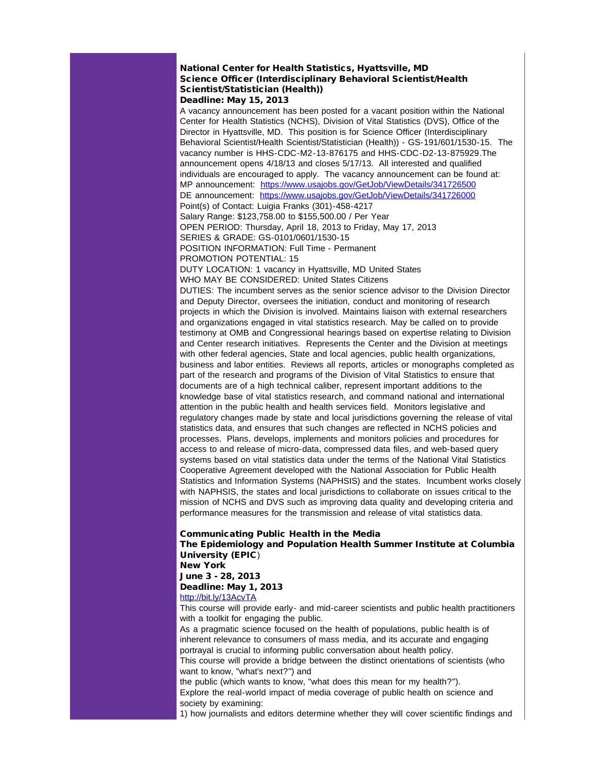#### National Center for Health Statistics, Hyattsville, MD Science Officer (Interdisciplinary Behavioral Scientist/Health Scientist/Statistician (Health)) Deadline: May 15, 2013

A vacancy announcement has been posted for a vacant position within the National Center for Health Statistics (NCHS), Division of Vital Statistics (DVS), Office of the Director in Hyattsville, MD. This position is for Science Officer (Interdisciplinary Behavioral Scientist/Health Scientist/Statistician (Health)) - GS-191/601/1530-15. The vacancy number is HHS-CDC-M2-13-876175 and HHS-CDC-D2-13-875929.The announcement opens 4/18/13 and closes 5/17/13. All interested and qualified individuals are encouraged to apply. The vacancy announcement can be found at: MP announcement: [https://www.usajobs.gov/GetJob/ViewDetails/341726500](http://r20.rs6.net/tn.jsp?e=001P_Rv0lTHjdlJeR6vKOXhxPF9SJVUr8jV-eHrnwAKZzHZroL7dqfrVG7ANln1nx6SlcamwZ3nQEyHWhFmXQUlL9nESzX4TAQsNwEPwM6hJPvnFJ1wFI9lIzC0LCT4QUX-X_MlxTESkbBZMQuhc4pOCN12j33Sw09a-gu1Ytp4CV8nWOyX-CYgYqlO9ludn3XQTHXba96vv-jH1E9B__-LorFR0fnw3UWN2t-b0ffvykujyrvekUgHUddW9LTn5B16XEE_p3PpEFO0drBs95KWbg==) DE announcement: [https://www.usajobs.gov/GetJob/ViewDetails/341726000](http://r20.rs6.net/tn.jsp?e=001P_Rv0lTHjdk88Jrbu2vCy36K_9lRrWjLun9Mczk_67d0cxq1mDA6InHfYF7xuA31QlYHIck6m3xTLoRrjMc0_8MupXe18FtoXWgy-QGvuw8IndlPdRSKyBVfRtmwoE5WkiZrrq7c3l5hyiuaxCycJAsVTVc26AOfKieq3aWkO5ZqZiPH-Qtnk8gSVrA7iDO1GLpIjho0BpNhUIfZCsqVpD5SBce7_RnK-Yx2-lcR4FQgjP3OVENgZJfneT1IAEbVAJLiRjuTKv_FjobPzk8VSQ==) Point(s) of Contact: Luigia Franks (301)-458-4217 Salary Range: \$123,758.00 to \$155,500.00 / Per Year OPEN PERIOD: Thursday, April 18, 2013 to Friday, May 17, 2013 SERIES & GRADE: GS-0101/0601/1530-15 POSITION INFORMATION: Full Time - Permanent

PROMOTION POTENTIAL: 15

DUTY LOCATION: 1 vacancy in Hyattsville, MD United States WHO MAY BE CONSIDERED: United States Citizens

DUTIES: The incumbent serves as the senior science advisor to the Division Director and Deputy Director, oversees the initiation, conduct and monitoring of research projects in which the Division is involved. Maintains liaison with external researchers and organizations engaged in vital statistics research. May be called on to provide testimony at OMB and Congressional hearings based on expertise relating to Division and Center research initiatives. Represents the Center and the Division at meetings with other federal agencies, State and local agencies, public health organizations, business and labor entities. Reviews all reports, articles or monographs completed as part of the research and programs of the Division of Vital Statistics to ensure that documents are of a high technical caliber, represent important additions to the knowledge base of vital statistics research, and command national and international attention in the public health and health services field. Monitors legislative and regulatory changes made by state and local jurisdictions governing the release of vital statistics data, and ensures that such changes are reflected in NCHS policies and processes. Plans, develops, implements and monitors policies and procedures for access to and release of micro-data, compressed data files, and web-based query systems based on vital statistics data under the terms of the National Vital Statistics Cooperative Agreement developed with the National Association for Public Health Statistics and Information Systems (NAPHSIS) and the states. Incumbent works closely with NAPHSIS, the states and local jurisdictions to collaborate on issues critical to the mission of NCHS and DVS such as improving data quality and developing criteria and performance measures for the transmission and release of vital statistics data.

# Communicating Public Health in the Media

The Epidemiology and Population Health Summer Institute at Columbia University (EPIC) New York

June 3 - 28, 2013 Deadline: May 1, 2013 [http://bit.ly/13AcvTA](http://r20.rs6.net/tn.jsp?e=001P_Rv0lTHjdmZV4X7l_BHfYXB0Xok7_9fOyB5rRXW1V5gh9qJcwTA0oapOgPiSVDR84mmxyJz6sbCfBsTHE-L2d_0y9tFcF7uU51Iz7K1u5H11vUFHb6EgVeQ2asvCP4Q0NNuSEst2hN8PMdApgo1mWv-2t7yNsQQhaypNTIgYKLmlfun1mdJQ0AfjhTCZM_G4G4uQPHXHFnlmisqFl-HQcRQAmje9-iX-zULgHLzPXM=)

This course will provide early- and mid-career scientists and public health practitioners with a toolkit for engaging the public.

As a pragmatic science focused on the health of populations, public health is of inherent relevance to consumers of mass media, and its accurate and engaging portrayal is crucial to informing public conversation about health policy.

This course will provide a bridge between the distinct orientations of scientists (who want to know, "what's next?") and

the public (which wants to know, "what does this mean for my health?"). Explore the real-world impact of media coverage of public health on science and society by examining:

1) how journalists and editors determine whether they will cover scientific findings and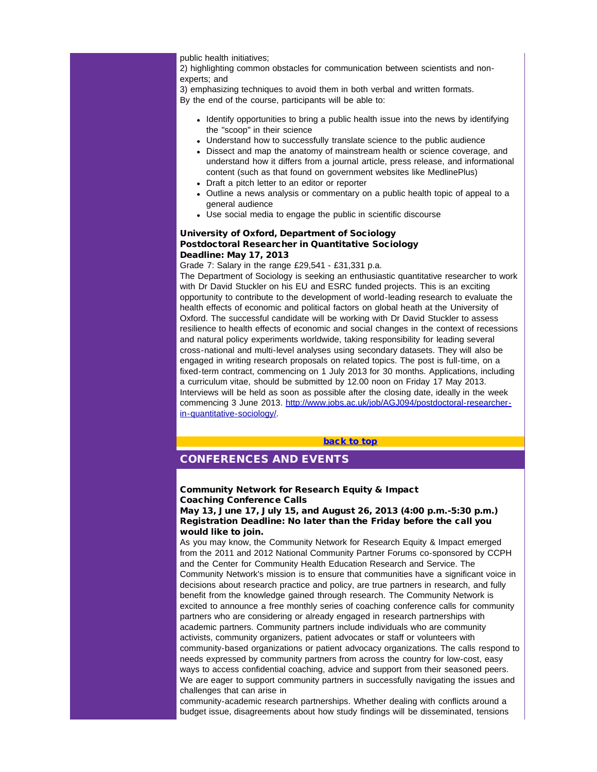public health initiatives;

2) highlighting common obstacles for communication between scientists and nonexperts; and

3) emphasizing techniques to avoid them in both verbal and written formats. By the end of the course, participants will be able to:

- Identify opportunities to bring a public health issue into the news by identifying the "scoop" in their science
- Understand how to successfully translate science to the public audience
- Dissect and map the anatomy of mainstream health or science coverage, and understand how it differs from a journal article, press release, and informational content (such as that found on government websites like MedlinePlus)
- Draft a pitch letter to an editor or reporter
- Outline a news analysis or commentary on a public health topic of appeal to a general audience
- Use social media to engage the public in scientific discourse

### University of Oxford, Department of Sociology Postdoctoral Researcher in Quantitative Sociology Deadline: May 17, 2013

Grade 7: Salary in the range £29,541 - £31,331 p.a.

<span id="page-11-0"></span>The Department of Sociology is seeking an enthusiastic quantitative researcher to work with Dr David Stuckler on his EU and ESRC funded projects. This is an exciting opportunity to contribute to the development of world-leading research to evaluate the health effects of economic and political factors on global heath at the University of Oxford. The successful candidate will be working with Dr David Stuckler to assess resilience to health effects of economic and social changes in the context of recessions and natural policy experiments worldwide, taking responsibility for leading several cross-national and multi-level analyses using secondary datasets. They will also be engaged in writing research proposals on related topics. The post is full-time, on a fixed-term contract, commencing on 1 July 2013 for 30 months. Applications, including a curriculum vitae, should be submitted by 12.00 noon on Friday 17 May 2013. Interviews will be held as soon as possible after the closing date, ideally in the week commencing 3 June 2013. [http://www.jobs.ac.uk/job/AGJ094/postdoctoral-researcher](http://r20.rs6.net/tn.jsp?e=001P_Rv0lTHjdm6vu5xg4gcEvVPI5ueQoUGkoQnd4DBPszHegGe2vrPF-z1uvZtoicXXo88c1A5LTXZ0SAWf0B6ouErDEsOOGG2m17EugPd_19WvMPpqQpSBaZwlXKNk5VF03rFE6CEy50j6pIU83BBCIGtWvRYEEF7iXR7joir3zlr52bWq0GGbzkSs_tUPl2Wrbnz0NT-pQaSPv1PoJfe71XE4DKoxHSjgKBtvjoTxjOZliCQHm2e6Mb1A32LSz6_wWlamwWCbNwetdEEBqujJ0Nc36aD11iCaVqP2gHOAO32kCfUHIMz1umjTZhYT-CyRaJDIw-gEww=)[in-quantitative-sociology/.](http://r20.rs6.net/tn.jsp?e=001P_Rv0lTHjdm6vu5xg4gcEvVPI5ueQoUGkoQnd4DBPszHegGe2vrPF-z1uvZtoicXXo88c1A5LTXZ0SAWf0B6ouErDEsOOGG2m17EugPd_19WvMPpqQpSBaZwlXKNk5VF03rFE6CEy50j6pIU83BBCIGtWvRYEEF7iXR7joir3zlr52bWq0GGbzkSs_tUPl2Wrbnz0NT-pQaSPv1PoJfe71XE4DKoxHSjgKBtvjoTxjOZliCQHm2e6Mb1A32LSz6_wWlamwWCbNwetdEEBqujJ0Nc36aD11iCaVqP2gHOAO32kCfUHIMz1umjTZhYT-CyRaJDIw-gEww=)

[back to top](#page-0-4)

# CONFERENCES AND EVENTS

## Community Network for Research Equity & Impact Coaching Conference Calls

May 13, June 17, July 15, and August 26, 2013 (4:00 p.m.-5:30 p.m.) Registration Deadline: No later than the Friday before the call you would like to join.

As you may know, the Community Network for Research Equity & Impact emerged from the 2011 and 2012 National Community Partner Forums co-sponsored by CCPH and the Center for Community Health Education Research and Service. The Community Network's mission is to ensure that communities have a significant voice in decisions about research practice and policy, are true partners in research, and fully benefit from the knowledge gained through research. The Community Network is excited to announce a free monthly series of coaching conference calls for community partners who are considering or already engaged in research partnerships with academic partners. Community partners include individuals who are community activists, community organizers, patient advocates or staff or volunteers with community-based organizations or patient advocacy organizations. The calls respond to needs expressed by community partners from across the country for low-cost, easy ways to access confidential coaching, advice and support from their seasoned peers. We are eager to support community partners in successfully navigating the issues and challenges that can arise in

community-academic research partnerships. Whether dealing with conflicts around a budget issue, disagreements about how study findings will be disseminated, tensions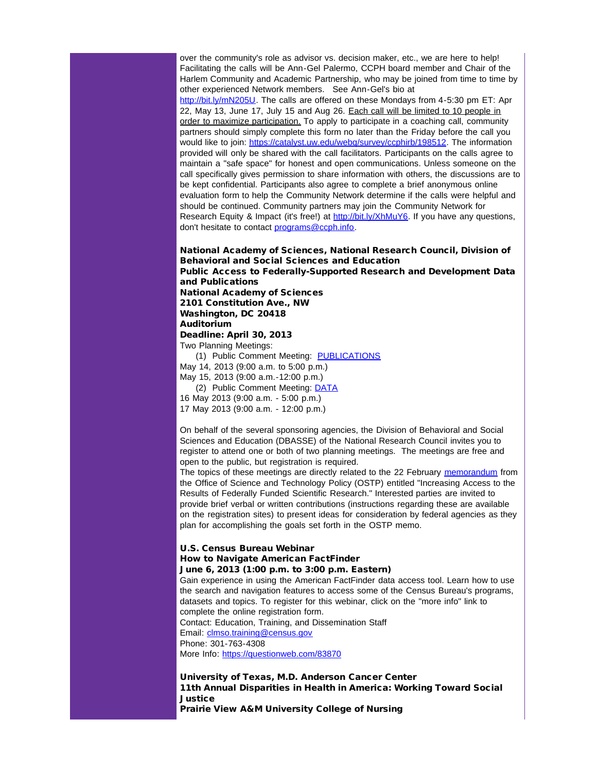over the community's role as advisor vs. decision maker, etc., we are here to help! Facilitating the calls will be Ann-Gel Palermo, CCPH board member and Chair of the Harlem Community and Academic Partnership, who may be joined from time to time by other experienced Network members. See Ann-Gel's bio at [http://bit.ly/mN205U.](http://r20.rs6.net/tn.jsp?e=001P_Rv0lTHjdmBw9uISKb-NrC-O6hvVwMcUVoW18di8ZSkrDW4qoAiUZjit1D4mdh73Lncg95vE9ZNXt-1yBINNvvfklGEh-PCNyHWdYxXu6Ol-fdB22uF7j71PHRbWiX8fXUKB2qm4EytHQihZ7FOco8rWlUF1d8zmTT86XPTJaRGwndYeVMLLuxd4CVG78Y0zc9QLP434li5XmZ6b0QaetkgQ_32dQs_ajNpWU4XeKQ=) The calls are offered on these Mondays from 4-5:30 pm ET: Apr 22, May 13, June 17, July 15 and Aug 26. Each call will be limited to 10 people in order to maximize participation. To apply to participate in a coaching call, community partners should simply complete this form no later than the Friday before the call you would like to join: [https://catalyst.uw.edu/webq/survey/ccphirb/198512.](http://r20.rs6.net/tn.jsp?e=001P_Rv0lTHjdnzpzWHSmExb019pa6R8WC0W6VH-KuBA3Fq4n6klH_qQdeJcJRemP-pqH9NTxg4vitpw6eEuXz1g0imrTjoMrJev7VOLic3odjwSDwZ0rJRPiuLQy8pp_YOwjsdNT4J5hKb401ewU1sAkClYVeEsTckWhneWpVwAPmwZgqxF7ftkR7EUa7TgvsvpMSirTC4VnmmjVW9Tqyg95Rd07S-gcM-ia0xtTXjzYYCPY2JGhcnYurZpI3j5pg9Qiyp-fg5lsMtsR5b_U6soQ==) The information provided will only be shared with the call facilitators. Participants on the calls agree to maintain a "safe space" for honest and open communications. Unless someone on the call specifically gives permission to share information with others, the discussions are to be kept confidential. Participants also agree to complete a brief anonymous online evaluation form to help the Community Network determine if the calls were helpful and should be continued. Community partners may join the Community Network for Research Equity & Impact (it's free!) at [http://bit.ly/XhMuY6.](http://r20.rs6.net/tn.jsp?e=001P_Rv0lTHjdnASuDQw4SOolL3jTyvqGObEUuBtR_k9bifewAgbWk4jUTULod3yINK6buVL0ptuUVBdg0RTj66euHB3aY_5gLhTnXVBoZLEhLjb7qtv1rohB9ky6KC0-uK55aReJ1QxltPPcjE53BBTWejn_FKjAHMsiz5ddYY9AuQSj4n5xKUkgRkUobWh2KnaLlWvmL906xOQh_sTtank_Wnz7H_bxiVqFtIKfKNH_o=) If you have any questions, don't hesitate to contact [programs@ccph.info.](mailto:programs@ccph.info)

National Academy of Sciences, National Research Council, Division of Behavioral and Social Sciences and Education Public Access to Federally-Supported Research and Development Data and Publications National Academy of Sciences 2101 Constitution Ave., NW Washington, DC 20418 Auditorium Deadline: April 30, 2013 Two Planning Meetings: (1) Public Comment Meeting: [PUBLICATIONS](http://r20.rs6.net/tn.jsp?e=001P_Rv0lTHjdkDtt-X-Nm4MDvqsCI423ZHLD1tMMw3yVx8DJth-W3S7IJOTtGNnd8OhGnKp6CupgDaFW5ZoVeZ_zsUuUMVRbg6ttacEzAayU63hfGyAnlBcl0c4HtA0Nm_cFxWZiQeYFLcQBQpiYAVoF4DHbIyNRysGYZVaAwISf3YB0FBfoyraou9v8A3RqSJS2nEFmj7iipCS5GdI5uYsxpi66ZQr8Cny8MWfoKKqdGQYTbabz6Pc7nDHXCFIaCvffYbk-_v8MLnXqVIeMuR24WN718SANZyJkbqqmj7upySXYLI5YUDsSDRLMcoIgFJLYiYg4cWBZJ_FF4OJdellKgLQiCHt-hu)

May 14, 2013 (9:00 a.m. to 5:00 p.m.) May 15, 2013 (9:00 a.m.-12:00 p.m.)

(2) Public Comment Meeting: **[DATA](http://r20.rs6.net/tn.jsp?e=001P_Rv0lTHjdmg0QJY3_JVQSwiafktwvYreb1hv7-H5KuoHqODr3BJIVI3DYSgM2kXiHDThgUrUfcyOCrP5bLx-zYypLOME2imGepcyI3Au52aWqP3iJVtMTYnu0mU_rkVnE9JOxMX2fZlNKKa2Z5_0kzp4CZaEeJghPj_ysv_vt3zny7kFDyFfd_tIUYFmuX51xjZUJo3HZhv6BhxL6t-HJpeBNqmj-bfausSP6oRy-kb2HlyeRP93NN3Mj0z7xKAwMxzaY43M4-HKVf3biGRdBR3bFJ3b39_rBOrNuDzG-ZfMr5X8WT5uAzp4192eR42sLymtGvzEwfrWIC9QlhJkbrJMEcRMaA5)** 

16 May 2013 (9:00 a.m. - 5:00 p.m.)

17 May 2013 (9:00 a.m. - 12:00 p.m.)

On behalf of the several sponsoring agencies, the Division of Behavioral and Social Sciences and Education (DBASSE) of the National Research Council invites you to register to attend one or both of two planning meetings. The meetings are free and open to the public, but registration is required.

The topics of these meetings are directly related to the 22 February [memorandum](http://r20.rs6.net/tn.jsp?e=001P_Rv0lTHjdlq5cA5XS__u9YuxuFoISCTXrGujvltr8Qa7kwyqYx4Wd7qCRh4CKsoftrY7PHne0Tp66DPgraHrrua4cbCjnhYlTJMBOAlDHXwPU8nqueWC60cWcLnxMZZzqyxSEYPdTme7RYa4kgSamo3j4D1feTQ_KGaz6TFTq6iY0ZGq4qQOSjSoALUG15Njc4FISJnYDpZPcqg6GAmS4V6v6tENeYl9W9v50E3OFK7BEp0xwerhBnKqRaUYv1R3HFkYw_KQEinYVAsdfqASaykEdf1rJXeEv9HzxaJEKDbbghljuayqRfrwdpR3UothKaeUlWZyBEWmuHAh8O_5GtSkpYpcERI) from the Office of Science and Technology Policy (OSTP) entitled "Increasing Access to the Results of Federally Funded Scientific Research." Interested parties are invited to provide brief verbal or written contributions (instructions regarding these are available on the registration sites) to present ideas for consideration by federal agencies as they plan for accomplishing the goals set forth in the OSTP memo.

## U.S. Census Bureau Webinar How to Navigate American FactFinder June 6, 2013 (1:00 p.m. to 3:00 p.m. Eastern)

Gain experience in using the American FactFinder data access tool. Learn how to use the search and navigation features to access some of the Census Bureau's programs, datasets and topics. To register for this webinar, click on the "more info" link to complete the online registration form. Contact: Education, Training, and Dissemination Staff Email: [clmso.training@census.gov](mailto:clmso.training@census.gov?subject=How%20to%20Navigate%20American%20FactFinder%20Webinar) Phone: 301-763-4308

More Info: [https://questionweb.com/83870](http://r20.rs6.net/tn.jsp?e=001P_Rv0lTHjdlogTeHE8k_glAPNczDUsq6VQJOEIqrpqC3EzsG7xaqg8Jin9FjgglBToVczhB0Q5AzqB2AQ-ffgZb2CClWQyw5o1lpc3Svp-AN61GZMvh8PBf6HbmqX9LvYNT2nzbQY44izTYJL-oGn4_sbKVZY3u9tZLMBFHc9zWXFlrbQFf65hi3Mq4D2q1lkGHM7dwJYzaH6s8DKWXsbc7oDKDbChJyyBwPXRMIC0KK3QBKWCuFr8AnEUPTyCkZP4Jecic5sZr2HfBoGiP51Et9toYZOeSoJzSYBcbIMSmh77x_XCTfRiHCyEjNuopU-UnBMd-AFZlPymvsCIhbALdMtr3gS1VnlE8Bs2I5_cKQ4TrryhazC9OPlglnTLK9bSBCzBl7yvMWr2CRXJwG0ouVr__MU1TABt2O5qbTEa8HH66MfDZopw==)

University of Texas, M.D. Anderson Cancer Center 11th Annual Disparities in Health in America: Working Toward Social **Justice** Prairie View A&M University College of Nursing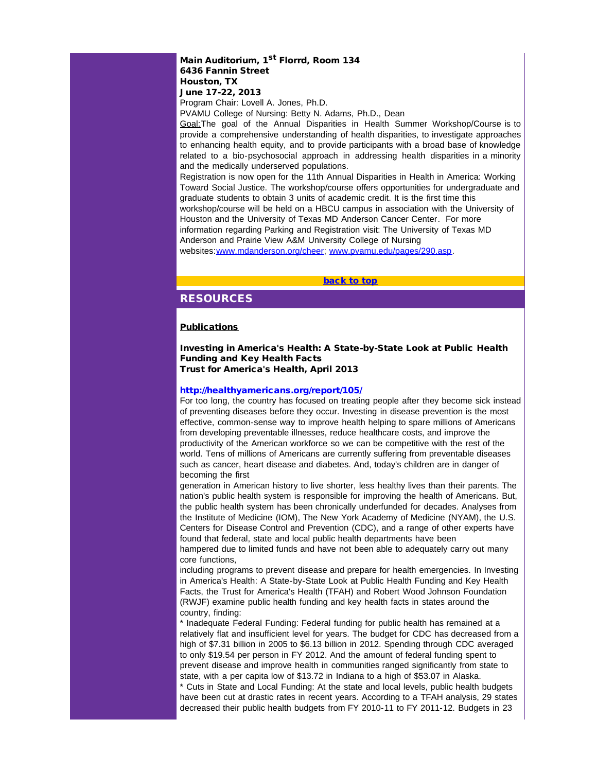# Main Auditorium, 1<sup>st</sup> Florrd, Room 134 6436 Fannin Street Houston, TX

June 17-22, 2013

Program Chair: Lovell A. Jones, Ph.D. PVAMU College of Nursing: Betty N. Adams, Ph.D., Dean

<span id="page-13-0"></span>Goal:The goal of the Annual Disparities in Health Summer Workshop/Course is to provide a comprehensive understanding of health disparities, to investigate approaches to enhancing health equity, and to provide participants with a broad base of knowledge related to a bio-psychosocial approach in addressing health disparities in a minority and the medically underserved populations.

Registration is now open for the 11th Annual Disparities in Health in America: Working Toward Social Justice. The workshop/course offers opportunities for undergraduate and graduate students to obtain 3 units of academic credit. It is the first time this workshop/course will be held on a HBCU campus in association with the University of Houston and the University of Texas MD Anderson Cancer Center. For more information regarding Parking and Registration visit: The University of Texas MD Anderson and Prairie View A&M University College of Nursing

websites:[www.mdanderson.org/cheer;](http://r20.rs6.net/tn.jsp?e=001P_Rv0lTHjdnbxPJify_qVG1OEJVeuZrqJrYhTYW5rYyJ6cx7ygyWkjEjINp0bd4zsFF9z4-203ybZpLL9Qw6HvW6kjYpwT_-1K8XQawwUfpFm4sitJBIU_fcnv7izV9CsP1shmKq7Y12nXBaGFJXaJqmf1xE-gOTuR9CpJruLTwdKtxCDflPh7BNjZ8wTf_kjHnffSwMzjAqGXSqgyXBBPFWXTGAKhVrGTiwVVBN-40AUnbBM_afzg==) [www.pvamu.edu/pages/290.asp](http://r20.rs6.net/tn.jsp?e=001P_Rv0lTHjdl79ue1b-EkTUDho5OVsXuuVgnB0wa_gmVDcr1LLVhlHKXvG4kk0wnk9s-Xzw8-VuCLHfpAF3q4Sc7rXaWlF6U_IbtxE1BVW2eSJEMrxrsOQlHGVTHx2A7sawOEiIrxDGJCSDzSLkr5qhD-XTwdYTpyEW4nIfczkEbIVEyM4g7k2gelhcijSjFHU9ipgMEP7pUpVsvXK8_boI44MOUcsc0ufT2IdePmGWLVFjSxxf0BsBA2XD_yHdlb).

[back to top](#page-0-4)

# RESOURCES

## **Publications**

Investing in America's Health: A State-by-State Look at Public Health Funding and Key Health Facts Trust for America's Health, April 2013

## [http://healthyamericans.org/report/105/](http://r20.rs6.net/tn.jsp?e=001P_Rv0lTHjdmfYKB2J2YzgCBmaBDqPc2jSij4R-B-uIyUPpkcFFsZ3w_CuNjE1Gib-mLyOGpqYBMahl7gzRmgkOz7cVwpgW_c5GNGDgXRMImq8z0B6Fx3dFPylmmWDz2SEjkKdlRniFixm0rajynppV92uVTgwnxJEfc2Q9UVzor3V0QvwDHcZwHzDpLMMRnoSLAw-8vEjdf4LaJTkgX4lPQtoSi5OhXF7UGQZb8PMsOOTHFIgQc9irp6-WPFMzElffR6ynuErj0=)

For too long, the country has focused on treating people after they become sick instead of preventing diseases before they occur. Investing in disease prevention is the most effective, common-sense way to improve health helping to spare millions of Americans from developing preventable illnesses, reduce healthcare costs, and improve the productivity of the American workforce so we can be competitive with the rest of the world. Tens of millions of Americans are currently suffering from preventable diseases such as cancer, heart disease and diabetes. And, today's children are in danger of becoming the first

generation in American history to live shorter, less healthy lives than their parents. The nation's public health system is responsible for improving the health of Americans. But, the public health system has been chronically underfunded for decades. Analyses from the Institute of Medicine (IOM), The New York Academy of Medicine (NYAM), the U.S. Centers for Disease Control and Prevention (CDC), and a range of other experts have found that federal, state and local public health departments have been hampered due to limited funds and have not been able to adequately carry out many core functions,

including programs to prevent disease and prepare for health emergencies. In Investing in America's Health: A State-by-State Look at Public Health Funding and Key Health Facts, the Trust for America's Health (TFAH) and Robert Wood Johnson Foundation (RWJF) examine public health funding and key health facts in states around the country, finding:

\* Inadequate Federal Funding: Federal funding for public health has remained at a relatively flat and insufficient level for years. The budget for CDC has decreased from a high of \$7.31 billion in 2005 to \$6.13 billion in 2012. Spending through CDC averaged to only \$19.54 per person in FY 2012. And the amount of federal funding spent to prevent disease and improve health in communities ranged significantly from state to state, with a per capita low of \$13.72 in Indiana to a high of \$53.07 in Alaska.

\* Cuts in State and Local Funding: At the state and local levels, public health budgets have been cut at drastic rates in recent years. According to a TFAH analysis, 29 states decreased their public health budgets from FY 2010-11 to FY 2011-12. Budgets in 23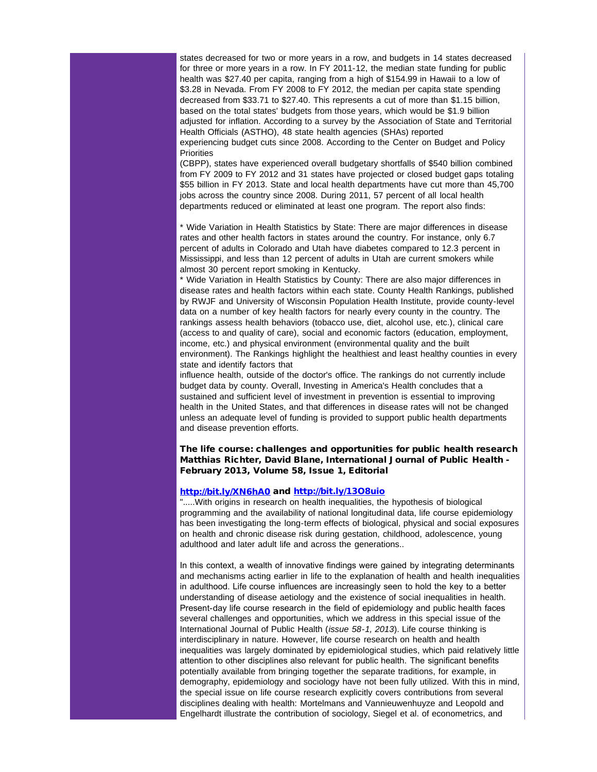states decreased for two or more years in a row, and budgets in 14 states decreased for three or more years in a row. In FY 2011-12, the median state funding for public health was \$27.40 per capita, ranging from a high of \$154.99 in Hawaii to a low of \$3.28 in Nevada. From FY 2008 to FY 2012, the median per capita state spending decreased from \$33.71 to \$27.40. This represents a cut of more than \$1.15 billion, based on the total states' budgets from those years, which would be \$1.9 billion adjusted for inflation. According to a survey by the Association of State and Territorial Health Officials (ASTHO), 48 state health agencies (SHAs) reported experiencing budget cuts since 2008. According to the Center on Budget and Policy **Priorities** 

(CBPP), states have experienced overall budgetary shortfalls of \$540 billion combined from FY 2009 to FY 2012 and 31 states have projected or closed budget gaps totaling \$55 billion in FY 2013. State and local health departments have cut more than 45,700 jobs across the country since 2008. During 2011, 57 percent of all local health departments reduced or eliminated at least one program. The report also finds:

\* Wide Variation in Health Statistics by State: There are major differences in disease rates and other health factors in states around the country. For instance, only 6.7 percent of adults in Colorado and Utah have diabetes compared to 12.3 percent in Mississippi, and less than 12 percent of adults in Utah are current smokers while almost 30 percent report smoking in Kentucky.

\* Wide Variation in Health Statistics by County: There are also major differences in disease rates and health factors within each state. County Health Rankings, published by RWJF and University of Wisconsin Population Health Institute, provide county-level data on a number of key health factors for nearly every county in the country. The rankings assess health behaviors (tobacco use, diet, alcohol use, etc.), clinical care (access to and quality of care), social and economic factors (education, employment, income, etc.) and physical environment (environmental quality and the built environment). The Rankings highlight the healthiest and least healthy counties in every state and identify factors that

influence health, outside of the doctor's office. The rankings do not currently include budget data by county. Overall, Investing in America's Health concludes that a sustained and sufficient level of investment in prevention is essential to improving health in the United States, and that differences in disease rates will not be changed unless an adequate level of funding is provided to support public health departments and disease prevention efforts.

## The life course: challenges and opportunities for public health research Matthias Richter, David Blane, International Journal of Public Health - February 2013, Volume 58, Issue 1, Editorial

#### [http://bit.ly/XN6hA0](http://r20.rs6.net/tn.jsp?e=001P_Rv0lTHjdmL6ZPawIIpYkvyyD1F7RqFQrdPoOjew0xEL12j-5QA-zO57s8cfUEniq98F4h0DAPd9NgI2QTeMJ7h3QAr_xQz4RARJ2FrSSYQpuKSZFjvXPM0ftPOn3bYYMc4A7rclZGLcx3dBDAC0OQZHLFCPczqIivAJILcBlC1TLAmrsiuzkNx9-nuwW12lFJUZm5fZHkIHOZnGNGd9FUF0h3W3kza61agAqLRdJ4=) and [http://bit.ly/13O8uio](http://r20.rs6.net/tn.jsp?e=001P_Rv0lTHjdm8GkfHEe2Bh_OthO1eOt0YYTXIpW6gmGredW90zxN-hZ6konP8d54EaPLUUt0Jz84xUkTq2n8YnFOfuQCHzBBJqPqrZrE1R49SC2DDgCqcEWmUGeHQTOxKPetjVXYpKUPy-Kc9LLE3qL8_v0pbYZYX41516Pb9kWgTP_IgQPNv_Suh8EBPtoIWCiL062HARruDgtm8_H7WMS1tSKKLp_1tnCbVWH_yWmc=)

".....With origins in research on health inequalities, the hypothesis of biological programming and the availability of national longitudinal data, life course epidemiology has been investigating the long-term effects of biological, physical and social exposures on health and chronic disease risk during gestation, childhood, adolescence, young adulthood and later adult life and across the generations..

In this context, a wealth of innovative findings were gained by integrating determinants and mechanisms acting earlier in life to the explanation of health and health inequalities in adulthood. Life course influences are increasingly seen to hold the key to a better understanding of disease aetiology and the existence of social inequalities in health. Present-day life course research in the field of epidemiology and public health faces several challenges and opportunities, which we address in this special issue of the International Journal of Public Health (*issue 58-1, 2013*). Life course thinking is interdisciplinary in nature. However, life course research on health and health inequalities was largely dominated by epidemiological studies, which paid relatively little attention to other disciplines also relevant for public health. The significant benefits potentially available from bringing together the separate traditions, for example, in demography, epidemiology and sociology have not been fully utilized. With this in mind, the special issue on life course research explicitly covers contributions from several disciplines dealing with health: Mortelmans and Vannieuwenhuyze and Leopold and Engelhardt illustrate the contribution of sociology, Siegel et al. of econometrics, and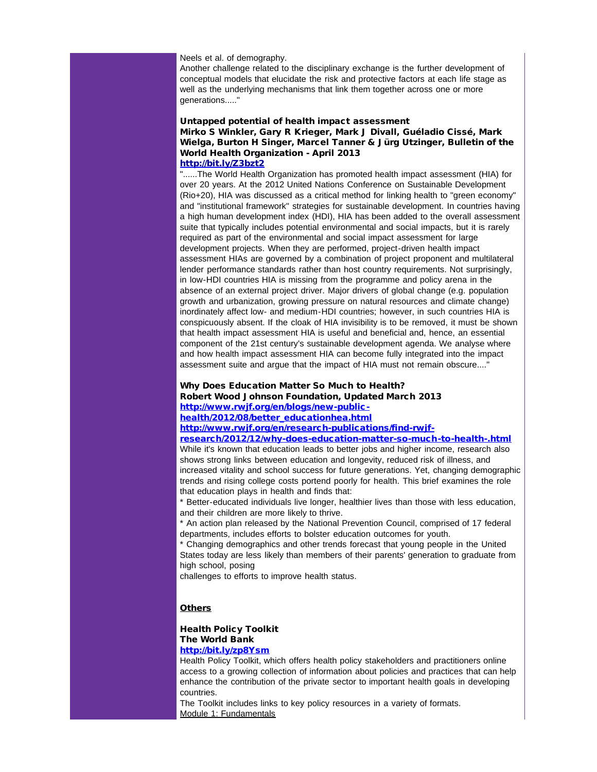### Neels et al. of demography.

Another challenge related to the disciplinary exchange is the further development of conceptual models that elucidate the risk and protective factors at each life stage as well as the underlying mechanisms that link them together across one or more generations....."

### Untapped potential of health impact assessment Mirko S Winkler, Gary R Krieger, Mark J Divall, Guéladio Cissé, Mark Wielga, Burton H Singer, Marcel Tanner & Jürg Utzinger, Bulletin of the World Health Organization - April 2013 [http://bit.ly/Z3bzt2](http://r20.rs6.net/tn.jsp?e=001P_Rv0lTHjdlUM2-isuo0vRx9cJW2VnTzRv1CfTETvTuXrmCLO_7eVDa6LSfZ_I8Iyh7zTKKZ5KB1SvMCXeLvFuen9PIZLTc76-D0BTDEG7j20OOr0mPE5KUI7lH75yDxJthkBze7SC2flesYURNFDID5ISU1JcYv9DMKs1MMWnARukylAgvp8UGe3yDxVSordG8w2gV3nWw6Ls_iEZnqSqbIhMbYZXaSMFr5mdaTsyI=)

"......The World Health Organization has promoted health impact assessment (HIA) for over 20 years. At the 2012 United Nations Conference on Sustainable Development (Rio+20), HIA was discussed as a critical method for linking health to "green economy" and "institutional framework" strategies for sustainable development. In countries having a high human development index (HDI), HIA has been added to the overall assessment suite that typically includes potential environmental and social impacts, but it is rarely required as part of the environmental and social impact assessment for large development projects. When they are performed, project-driven health impact assessment HIAs are governed by a combination of project proponent and multilateral lender performance standards rather than host country requirements. Not surprisingly, in low-HDI countries HIA is missing from the programme and policy arena in the absence of an external project driver. Major drivers of global change (e.g. population growth and urbanization, growing pressure on natural resources and climate change) inordinately affect low- and medium-HDI countries; however, in such countries HIA is conspicuously absent. If the cloak of HIA invisibility is to be removed, it must be shown that health impact assessment HIA is useful and beneficial and, hence, an essential component of the 21st century's sustainable development agenda. We analyse where and how health impact assessment HIA can become fully integrated into the impact assessment suite and argue that the impact of HIA must not remain obscure...."

### Why Does Education Matter So Much to Health? Robert Wood Johnson Foundation, Updated March 2013 [http://www.rwjf.org/en/blogs/new-public-](http://r20.rs6.net/tn.jsp?e=001P_Rv0lTHjdnF7aWglTpGKScN6WqNMlqfKxMIGZzfzOiO0F7oarARBvkuW2nyDfUBHDEnu9OKQXNthyqQHzj2A_Jienthz_8s-j8ftPQrBFUSR9jjnoiooNh19ADb_mdRxtZWov04Lz-f1Rmckotaalcy18xEZTTDylXgHLAZQv8RK2rJqK9rlV756D2L3aUWpuN2VNjJtix6Wysnrvfuh0WHUEulYGYOGWkLx1uFFNGuTkeO7Zd8Oz9u4M2QoFLI5MfuLvbafJ9hOVQKjWdAr4U-x0s8IJePviFZBZ4SQ6Nf2ni8GWX18GI2JDPLIKzlE-NaDsRnHLM=)

[health/2012/08/better\\_educationhea.html](http://r20.rs6.net/tn.jsp?e=001P_Rv0lTHjdnF7aWglTpGKScN6WqNMlqfKxMIGZzfzOiO0F7oarARBvkuW2nyDfUBHDEnu9OKQXNthyqQHzj2A_Jienthz_8s-j8ftPQrBFUSR9jjnoiooNh19ADb_mdRxtZWov04Lz-f1Rmckotaalcy18xEZTTDylXgHLAZQv8RK2rJqK9rlV756D2L3aUWpuN2VNjJtix6Wysnrvfuh0WHUEulYGYOGWkLx1uFFNGuTkeO7Zd8Oz9u4M2QoFLI5MfuLvbafJ9hOVQKjWdAr4U-x0s8IJePviFZBZ4SQ6Nf2ni8GWX18GI2JDPLIKzlE-NaDsRnHLM=)

[http://www.rwjf.org/en/research-publications/find-rwjf-](http://r20.rs6.net/tn.jsp?e=001P_Rv0lTHjdmRU8IjEoBSF80zol6V1QdozSNEMrGkWTUxCPPZNbH32YDfneP2ukU3FHdgYoPRJIYWuCxashChA4DOeKH_f1B3czm8EoLFGAv95Q6BV1axAfJ3xyzHCXSEa3M4J1TL4i_ASnJdzQhz0a3wZkR_PsrFDdTj9Jgvi-IWhP7zAsZroJ_s0gxKmOQ0tVO-acbAbvOHiNswCkRuQV7xeuIs38eCSFjmtvyMjQCJ0iJ1zU2P2yq7JMOh1A7-jXwfiRl-vYeKCgXbatPJyUKLbQc35hnu26KnLqd_-xtj8uOtzdzNWAie93RfpTQavDr_Q06CPxOH9oNBIZGJn3JWfbAHd2iUs3x_DQhbGP8E3pqnUkG5sv9SwoLsiqPw)

### [research/2012/12/why-does-education-matter-so-much-to-health-.html](http://r20.rs6.net/tn.jsp?e=001P_Rv0lTHjdmRU8IjEoBSF80zol6V1QdozSNEMrGkWTUxCPPZNbH32YDfneP2ukU3FHdgYoPRJIYWuCxashChA4DOeKH_f1B3czm8EoLFGAv95Q6BV1axAfJ3xyzHCXSEa3M4J1TL4i_ASnJdzQhz0a3wZkR_PsrFDdTj9Jgvi-IWhP7zAsZroJ_s0gxKmOQ0tVO-acbAbvOHiNswCkRuQV7xeuIs38eCSFjmtvyMjQCJ0iJ1zU2P2yq7JMOh1A7-jXwfiRl-vYeKCgXbatPJyUKLbQc35hnu26KnLqd_-xtj8uOtzdzNWAie93RfpTQavDr_Q06CPxOH9oNBIZGJn3JWfbAHd2iUs3x_DQhbGP8E3pqnUkG5sv9SwoLsiqPw)

While it's known that education leads to better jobs and higher income, research also shows strong links between education and longevity, reduced risk of illness, and increased vitality and school success for future generations. Yet, changing demographic trends and rising college costs portend poorly for health. This brief examines the role that education plays in health and finds that:

\* Better-educated individuals live longer, healthier lives than those with less education, and their children are more likely to thrive.

\* An action plan released by the National Prevention Council, comprised of 17 federal departments, includes efforts to bolster education outcomes for youth.

\* Changing demographics and other trends forecast that young people in the United States today are less likely than members of their parents' generation to graduate from high school, posing

challenges to efforts to improve health status.

### **Others**

# Health Policy Toolkit The World Bank

### [http://bit.ly/zp8Ysm](http://r20.rs6.net/tn.jsp?e=001P_Rv0lTHjdl2IYwej4cXsUFpbffUEuvTkuzutHQVkEzBlh_VuYRSnAhG90nw6ByBjKWlZClYthQn6agFq04VV4g_aTX0ZobWhejvALedmsrBIyf0V36ComAiYQ4-mf5duOfuVep8fO4Iw6RBBQtTKkFiig_5NDJ9IsqMimJt_a3OrInvWegPlNqZx07LgmAVnnU-_iAjqGrdR1VUJDzL_qXwh8nQSIC12RBCtauSUEo=)

Health Policy Toolkit, which offers health policy stakeholders and practitioners online access to a growing collection of information about policies and practices that can help enhance the contribution of the private sector to important health goals in developing countries.

The Toolkit includes links to key policy resources in a variety of formats. Module 1: Fundamentals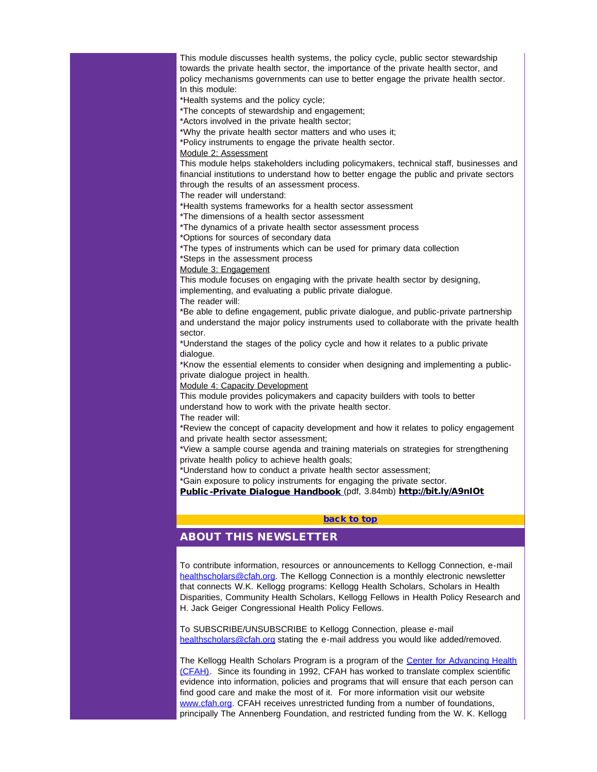This module discusses health systems, the policy cycle, public sector stewardship towards the private health sector, the importance of the private health sector, and policy mechanisms governments can use to better engage the private health sector. In this module:

\*Health systems and the policy cycle;

\*The concepts of stewardship and engagement;

\*Actors involved in the private health sector;

\*Why the private health sector matters and who uses it;

\*Policy instruments to engage the private health sector.

#### Module 2: Assessment

This module helps stakeholders including policymakers, technical staff, businesses and financial institutions to understand how to better engage the public and private sectors through the results of an assessment process.

The reader will understand:

\*Health systems frameworks for a health sector assessment

\*The dimensions of a health sector assessment

\*The dynamics of a private health sector assessment process

\*Options for sources of secondary data

\*The types of instruments which can be used for primary data collection

\*Steps in the assessment process

Module 3: Engagement

This module focuses on engaging with the private health sector by designing, implementing, and evaluating a public private dialogue.

The reader will:

\*Be able to define engagement, public private dialogue, and public-private partnership and understand the major policy instruments used to collaborate with the private health sector.

\*Understand the stages of the policy cycle and how it relates to a public private dialogue.

\*Know the essential elements to consider when designing and implementing a publicprivate dialogue project in health.

Module 4: Capacity Development

This module provides policymakers and capacity builders with tools to better understand how to work with the private health sector.

The reader will:

\*Review the concept of capacity development and how it relates to policy engagement and private health sector assessment;

\*View a sample course agenda and training materials on strategies for strengthening private health policy to achieve health goals;

\*Understand how to conduct a private health sector assessment;

\*Gain exposure to policy instruments for engaging the private sector.

[Public-Private Dialogue Handbook](http://r20.rs6.net/tn.jsp?e=001P_Rv0lTHjdnZPlUQqAj_7WUJCJBZMMXiChclRO0JospIgf6chchz8rYjxJSoMOhwkcEeymrOEkFwhWudWEPZFaTRXHM8AmgHNbHMbsr3y27vKyQrPOqxQ-9lItQyuSuOMLvHxIn1qNUudl53DI07yjFyYuY5iFH5fwiNl9cTIn6fzB8Xp_hUjMOoXJXiuoaJ4_0KJBIRYYRwIhZYrJV4AZwtj-x5lHWvmIjgcju8nFN_FvYXVsOoxDy63QhGFkKPbIIwFj7U_AAPj26vaPdMg-aZ6S79soWq) (pdf, 3.84mb) [http://bit.ly/A9nIOt](http://r20.rs6.net/tn.jsp?e=001P_Rv0lTHjdnPQmAlwoLuXbgQbJtnVg7s7S4IcBlTjghKTpYxMYS6pthUwoOkOrA8hEeBAOEAOAHQt73n2u6Q1w0WRzzkwMOmK931CBzR5BNsLKTR_BAmZBenTakgRK0QoORmt9VZEIGKx9x4o6wRLbrk-5tzQCxwEz1pZdjwDGD0cHC00hMKFuPlZg9tZcXqrKP4blv2JdTvBPGHMwsoV4Rjonfr9m8XGQwWcEyfk9Q=)

## [back to top](#page-0-4)

# ABOUT THIS NEWSLETTER

To contribute information, resources or announcements to Kellogg Connection, e-mail [healthscholars@cfah.org.](mailto:healthscholars@cfah.org) The Kellogg Connection is a monthly electronic newsletter that connects W.K. Kellogg programs: Kellogg Health Scholars, Scholars in Health Disparities, Community Health Scholars, Kellogg Fellows in Health Policy Research and H. Jack Geiger Congressional Health Policy Fellows.

To SUBSCRIBE/UNSUBSCRIBE to Kellogg Connection, please e-mail [healthscholars@cfah.org](mailto:healthscholars@cfah.org) stating the e-mail address you would like added/removed.

The Kellogg Health Scholars Program is a program of the [Center for Advancing Health](http://r20.rs6.net/tn.jsp?e=001P_Rv0lTHjdlu93rMfywl3gdIDB0NUWZc5IATK3aKLG833VCyoSveaPBkhgwsS85-727s-DnW8DP2orfsrDxgC_M7NuTj2njQV_VrBpa98J7_fv05Nt-o4h1vZBC7RxYF2AWK0E7dFDhrpOj4teqR8xRtZVJArxUafduitRC5vieHFRwsC4piuot6uuNjD9lyyTwNHiU2iANXAE0e1lS79e3am0N-gKDzWfM9Qmg-y6M=) [\(CFAH\).](http://r20.rs6.net/tn.jsp?e=001P_Rv0lTHjdlu93rMfywl3gdIDB0NUWZc5IATK3aKLG833VCyoSveaPBkhgwsS85-727s-DnW8DP2orfsrDxgC_M7NuTj2njQV_VrBpa98J7_fv05Nt-o4h1vZBC7RxYF2AWK0E7dFDhrpOj4teqR8xRtZVJArxUafduitRC5vieHFRwsC4piuot6uuNjD9lyyTwNHiU2iANXAE0e1lS79e3am0N-gKDzWfM9Qmg-y6M=) Since its founding in 1992, CFAH has worked to translate complex scientific evidence into information, policies and programs that will ensure that each person can find good care and make the most of it. For more information visit our website [www.cfah.org.](http://r20.rs6.net/tn.jsp?e=001P_Rv0lTHjdlu93rMfywl3gdIDB0NUWZc5IATK3aKLG833VCyoSveaPBkhgwsS85-727s-DnW8DP2orfsrDxgC_M7NuTj2njQV_VrBpa98J7_fv05Nt-o4h1vZBC7RxYF2AWK0E7dFDhrpOj4teqR8xRtZVJArxUafduitRC5vieHFRwsC4piuot6uuNjD9lyyTwNHiU2iANXAE0e1lS79e3am0N-gKDzWfM9Qmg-y6M=) CFAH receives unrestricted funding from a number of foundations, principally The Annenberg Foundation, and restricted funding from the W. K. Kellogg